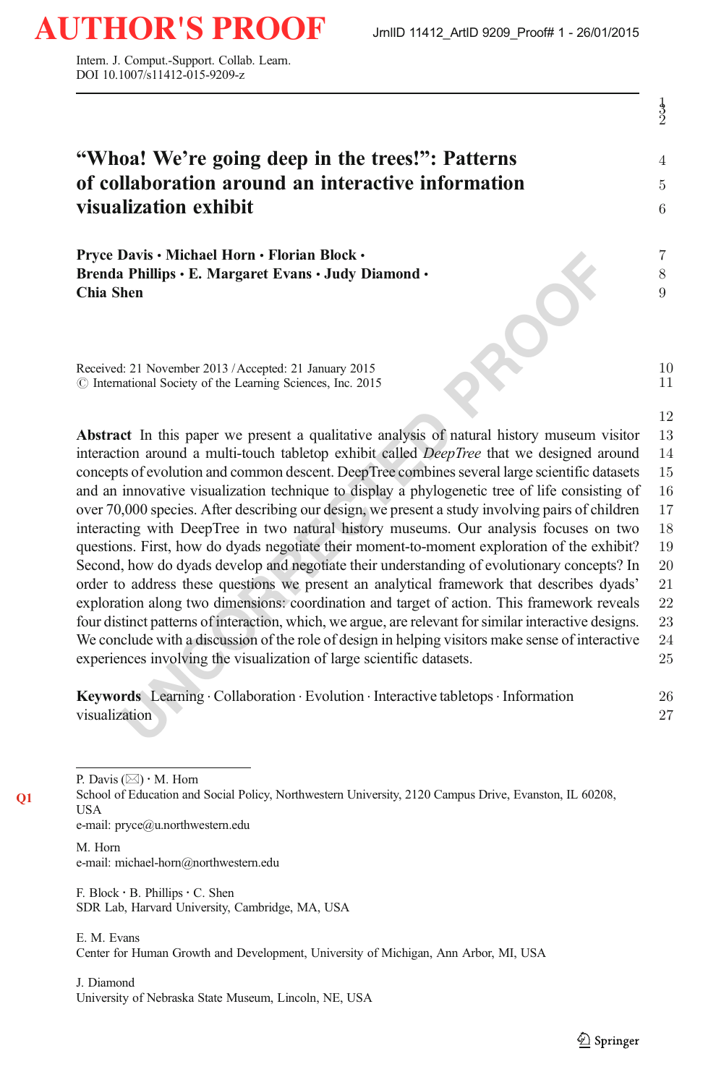### $\frac{1}{2}$  $\frac{3}{2}$

12

### "Whoa! We're going deep in the trees!": Patterns  $4\frac{4}{3}$ of collaboration around an interactive information <sup>5</sup> visualization exhibit <sup>6</sup>

Pryce Davis • Michael Horn • Florian Block • 7 7 Brenda Phillips • E. Margaret Evans • Judy Diamond • 88 Chia Shen 9

Received: 21 November 2013 / Accepted: 21 January 2015 10<br>
C International Society of the Learning Sciences Inc. 2015 11 © International Society of the Learning Sciences, Inc. 2015

Davis • Michael Horn • Florian Block •<br>
1 Phillips • E. Margaret Evans • Judy Diamond •<br>
hen<br>
1: 21 November 2013 / Accepted: 21 January 2015<br>
1: 21 November 2013 / Accepted: 21 January 2015<br>
1: 21 November 2013 / Accepted Abstract In this paper we present a qualitative analysis of natural history museum visitor 13 interaction around a multi-touch tabletop exhibit called *DeepTree* that we designed around 14 concepts of evolution and common descent. DeepTree combines several large scientific datasets 15 and an innovative visualization technique to display a phylogenetic tree of life consisting of 16 over 70,000 species. After describing our design, we present a study involving pairs of children 17 interacting with DeepTree in two natural history museums. Our analysis focuses on two 18 questions. First, how do dyads negotiate their moment-to-moment exploration of the exhibit? 19 Second, how do dyads develop and negotiate their understanding of evolutionary concepts? In 20 order to address these questions we present an analytical framework that describes dyads' 21 exploration along two dimensions: coordination and target of action. This framework reveals 22 four distinct patterns of interaction, which, we argue, are relevant for similar interactive designs. 23 We conclude with a discussion of the role of design in helping visitors make sense of interactive 24 experiences involving the visualization of large scientific datasets. 25

Keywords Learning . Collaboration . Evolution . Interactive tabletops. Information 26 visualization 27

P. Davis  $(\boxtimes) \cdot M$ . Horn Q1 School of Education and Social Policy, Northwestern University, 2120 Campus Drive, Evanston, IL 60208, USA

e-mail: pryce@u.northwestern.edu

M. Horn e-mail: michael-horn@northwestern.edu

F. Block  $\cdot$  B. Phillips  $\cdot$  C. Shen SDR Lab, Harvard University, Cambridge, MA, USA

E. M. Evans Center for Human Growth and Development, University of Michigan, Ann Arbor, MI, USA

J. Diamond University of Nebraska State Museum, Lincoln, NE, USA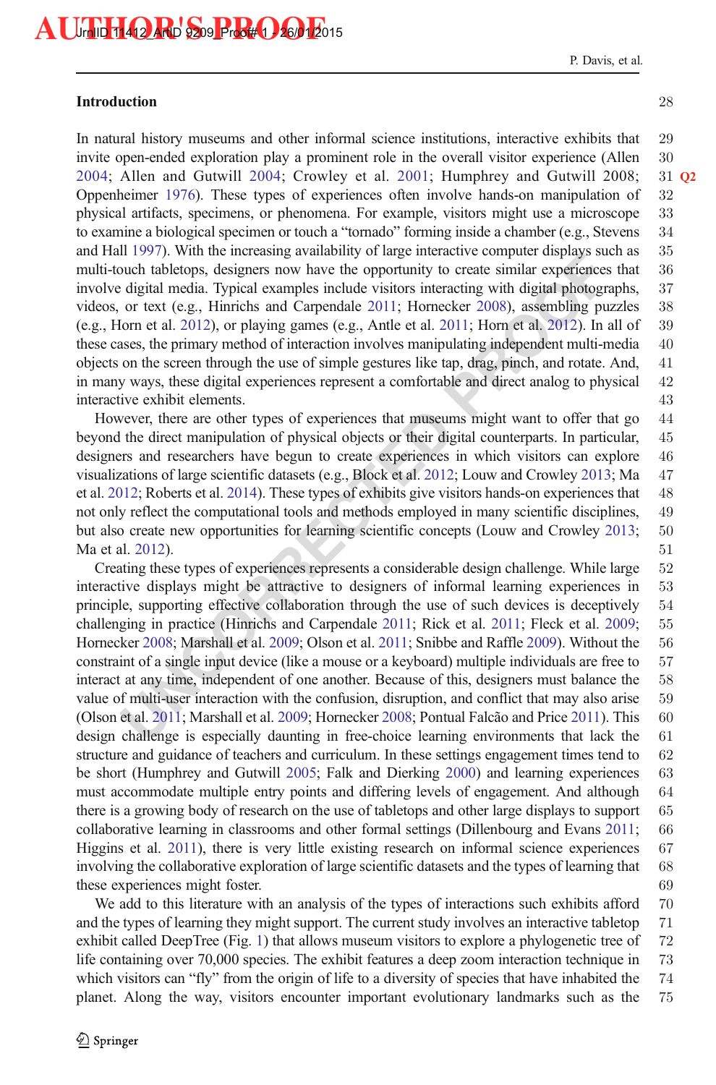### **Introduction** 28

In natural history museums and other informal science institutions, interactive exhibits that 29 invite open-ended exploration play a prominent role in the overall visitor experience (Allen 30 [2004](#page-21-0); Allen and Gutwill [2004;](#page-21-0) Crowley et al. [2001;](#page-21-0) Humphrey and Gutwill 2008; 31 Q2 Oppenheimer [1976\)](#page-22-0). These types of experiences often involve hands-on manipulation of 32 physical artifacts, specimens, or phenomena. For example, visitors might use a microscope 33 to examine a biological specimen or touch a "tornado" forming inside a chamber (e.g., Stevens 34 and Hall [1997](#page-23-0)). With the increasing availability of large interactive computer displays such as 35 multi-touch tabletops, designers now have the opportunity to create similar experiences that 36 involve digital media. Typical examples include visitors interacting with digital photographs, 37 videos, or text (e.g., Hinrichs and Carpendale [2011;](#page-22-0) Hornecker 2008), assembling puzzles 38 (e.g., Horn et al. [2012](#page-22-0)), or playing games (e.g., Antle et al. [2011](#page-21-0); Horn et al. 2012). In all of 39 these cases, the primary method of interaction involves manipulating independent multi-media 40 objects on the screen through the use of simple gestures like tap, drag, pinch, and rotate. And, 41 in many ways, these digital experiences represent a comfortable and direct analog to physical 42 interactive exhibit elements. 43

However, there are other types of experiences that museums might want to offer that go 44 beyond the direct manipulation of physical objects or their digital counterparts. In particular, 45 designers and researchers have begun to create experiences in which visitors can explore 46 visualizations of large scientific datasets (e.g., Block et al. 2012; Louw and Crowley [2013](#page-22-0); Ma 47 et al. [2012;](#page-22-0) Roberts et al. 2014). These types of exhibits give visitors hands-on experiences that 48 not only reflect the computational tools and methods employed in many scientific disciplines, 49 but also create new opportunities for learning scientific concepts (Louw and Crowley [2013](#page-22-0); 50 Ma et al. 2012).  $51$ 

1757), what identically availand tools and Cappel means (1617), when the change in the change is chapped in the change of chapped in the change of chapped in the chapped in the chapped for the (e.g., Himrichs and Capped 2 Creating these types of experiences represents a considerable design challenge. While large 52 interactive displays might be attractive to designers of informal learning experiences in 53 principle, supporting effective collaboration through the use of such devices is deceptively 54 challenging in practice (Hinrichs and Carpendale 2011; Rick et al. [2011;](#page-23-0) Fleck et al. [2009](#page-22-0); 55 Hornecker 2008; Marshall et al. 2009; Olson et al. 2011; Snibbe and Raffle [2009\)](#page-23-0). Without the 56 constraint of a single input device (like a mouse or a keyboard) multiple individuals are free to 57 interact at any time, independent of one another. Because of this, designers must balance the 58 value of multi-user interaction with the confusion, disruption, and conflict that may also arise 59 (Olson et al. 2011; Marshall et al. 2009; Hornecker 2008; Pontual Falcão and Price [2011\)](#page-22-0). This 60 design challenge is especially daunting in free-choice learning environments that lack the 61 structure and guidance of teachers and curriculum. In these settings engagement times tend to 62 be short (Humphrey and Gutwill [2005](#page-22-0); Falk and Dierking [2000](#page-22-0)) and learning experiences 63 must accommodate multiple entry points and differing levels of engagement. And although 64 there is a growing body of research on the use of tabletops and other large displays to support 65 collaborative learning in classrooms and other formal settings (Dillenbourg and Evans [2011](#page-21-0); 66 Higgins et al. [2011](#page-22-0)), there is very little existing research on informal science experiences 67 involving the collaborative exploration of large scientific datasets and the types of learning that 68 these experiences might foster. 69

We add to this literature with an analysis of the types of interactions such exhibits afford 70 and the types of learning they might support. The current study involves an interactive tabletop 71 exhibit called DeepTree (Fig. [1\)](#page-2-0) that allows museum visitors to explore a phylogenetic tree of 72 life containing over 70,000 species. The exhibit features a deep zoom interaction technique in 73 which visitors can "fly" from the origin of life to a diversity of species that have inhabited the 74 planet. Along the way, visitors encounter important evolutionary landmarks such as the 75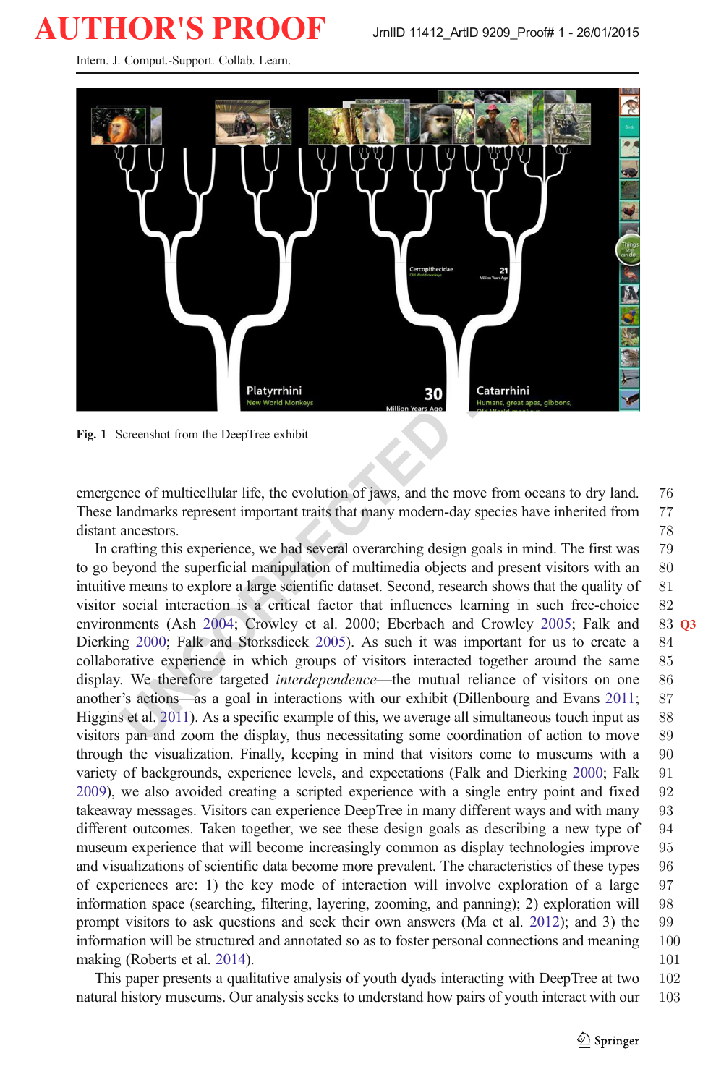<span id="page-2-0"></span>Intern. J. Comput.-Support. Collab. Learn.



Fig. 1 Screenshot from the DeepTree exhibit

emergence of multicellular life, the evolution of jaws, and the move from oceans to dry land. 76 These landmarks represent important traits that many modern-day species have inherited from 77 distant ancestors. 78

Elatyrrhini<br>
Elatyrrhini<br>
Elatyrrhini<br>
Elatyrrhini<br>
Elatyrrhini<br>
Ince of multicellular life, the evolution of jaws, and the move from oceans to dry<br>
andmarks represent important traits that many modern-day species have inh In crafting this experience, we had several overarching design goals in mind. The first was 79 to go beyond the superficial manipulation of multimedia objects and present visitors with an 80 intuitive means to explore a large scientific dataset. Second, research shows that the quality of 81 visitor social interaction is a critical factor that influences learning in such free-choice 82 environments (Ash 2004; Crowley et al. 2000; Eberbach and Crowley [2005](#page-21-0); Falk and 83 O3 Dierking 2000; Falk and Storksdieck 2005). As such it was important for us to create a 84 collaborative experience in which groups of visitors interacted together around the same 85 display. We therefore targeted *interdependence*—the mutual reliance of visitors on one 86 another's actions—as a goal in interactions with our exhibit (Dillenbourg and Evans [2011](#page-21-0); 87 Higgins et al. 2011). As a specific example of this, we average all simultaneous touch input as 88 visitors pan and zoom the display, thus necessitating some coordination of action to move 89 through the visualization. Finally, keeping in mind that visitors come to museums with a 90 variety of backgrounds, experience levels, and expectations (Falk and Dierking [2000](#page-22-0); Falk 91 [2009](#page-22-0)), we also avoided creating a scripted experience with a single entry point and fixed 92 takeaway messages. Visitors can experience DeepTree in many different ways and with many 93 different outcomes. Taken together, we see these design goals as describing a new type of 94 museum experience that will become increasingly common as display technologies improve 95 and visualizations of scientific data become more prevalent. The characteristics of these types 96 of experiences are: 1) the key mode of interaction will involve exploration of a large 97 information space (searching, filtering, layering, zooming, and panning); 2) exploration will 98 prompt visitors to ask questions and seek their own answers (Ma et al. [2012\)](#page-22-0); and 3) the 99 information will be structured and annotated so as to foster personal connections and meaning 100 making (Roberts et al. [2014\)](#page-23-0). 101

This paper presents a qualitative analysis of youth dyads interacting with DeepTree at two 102 natural history museums. Our analysis seeks to understand how pairs of youth interact with our 103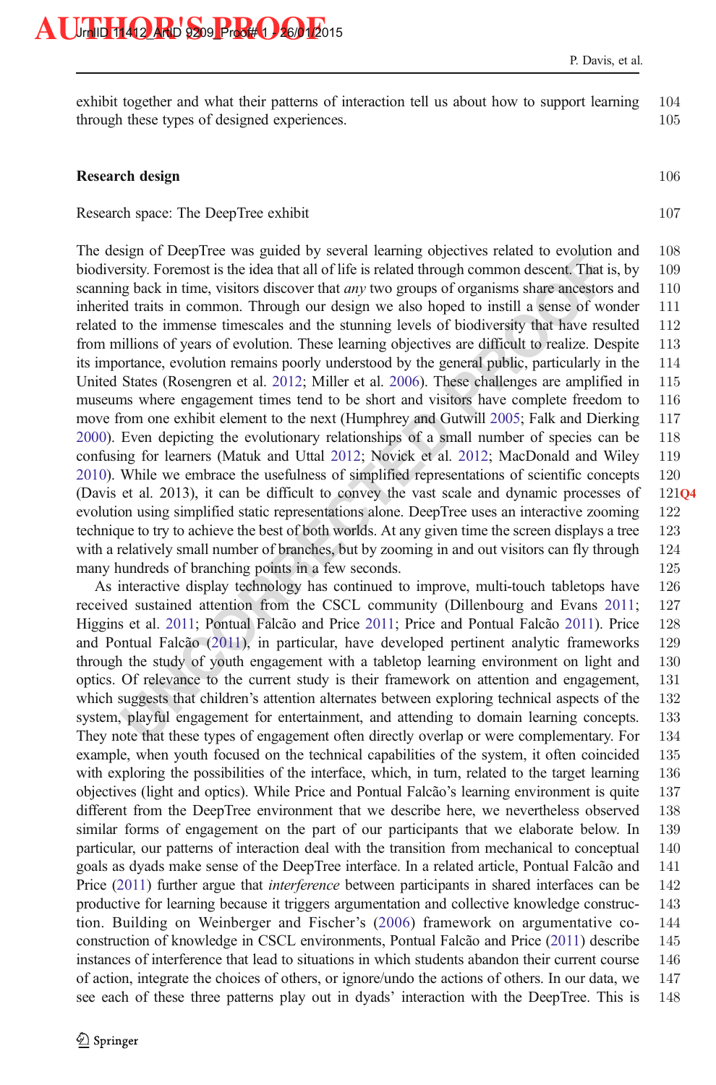exhibit together and what their patterns of interaction tell us about how to support learning 104 through these types of designed experiences. 105

#### Research design 106

Research space: The DeepTree exhibit 107

sign of Doctpivec was guaded or swear hanning objectors between that any two strainsty. Foremost is the idea that all of life is related through common descent. [T](#page-22-0)hat is the back in formon. Through our design we also hoped The design of DeepTree was guided by several learning objectives related to evolution and 108 biodiversity. Foremost is the idea that all of life is related through common descent. That is, by 109 scanning back in time, visitors discover that *any* two groups of organisms share ancestors and 110 inherited traits in common. Through our design we also hoped to instill a sense of wonder 111 related to the immense timescales and the stunning levels of biodiversity that have resulted 112 from millions of years of evolution. These learning objectives are difficult to realize. Despite 113 its importance, evolution remains poorly understood by the general public, particularly in the 114 United States (Rosengren et al. [2012;](#page-23-0) Miller et al. [2006\)](#page-22-0). These challenges are amplified in 115 museums where engagement times tend to be short and visitors have complete freedom to 116 move from one exhibit element to the next (Humphrey and Gutwill [2005;](#page-22-0) Falk and Dierking 117 [2000](#page-22-0)). Even depicting the evolutionary relationships of a small number of species can be 118 confusing for learners (Matuk and Uttal 2012; Novick et al. [2012;](#page-22-0) MacDonald and Wiley 119 [2010](#page-22-0)). While we embrace the usefulness of simplified representations of scientific concepts 120 (Davis et al. 2013), it can be difficult to convey the vast scale and dynamic processes of 121Q4 evolution using simplified static representations alone. DeepTree uses an interactive zooming 122 technique to try to achieve the best of both worlds. At any given time the screen displays a tree 123 with a relatively small number of branches, but by zooming in and out visitors can fly through 124 many hundreds of branching points in a few seconds. 125

As interactive display technology has continued to improve, multi-touch tabletops have 126 received sustained attention from the CSCL community (Dillenbourg and Evans [2011](#page-21-0); 127 Higgins et al. 2011; Pontual Falcão and Price 2011; Price and Pontual Falcão [2011](#page-22-0)). Price 128 and Pontual Falcão (2011), in particular, have developed pertinent analytic frameworks 129 through the study of youth engagement with a tabletop learning environment on light and 130 optics. Of relevance to the current study is their framework on attention and engagement, 131 which suggests that children's attention alternates between exploring technical aspects of the 132 system, playful engagement for entertainment, and attending to domain learning concepts. 133 They note that these types of engagement often directly overlap or were complementary. For 134 example, when youth focused on the technical capabilities of the system, it often coincided 135 with exploring the possibilities of the interface, which, in turn, related to the target learning 136 objectives (light and optics). While Price and Pontual Falcão's learning environment is quite 137 different from the DeepTree environment that we describe here, we nevertheless observed 138 similar forms of engagement on the part of our participants that we elaborate below. In 139 particular, our patterns of interaction deal with the transition from mechanical to conceptual 140 goals as dyads make sense of the DeepTree interface. In a related article, Pontual Falcão and 141 Price ([2011\)](#page-22-0) further argue that *interference* between participants in shared interfaces can be 142 productive for learning because it triggers argumentation and collective knowledge construc- 143 tion. Building on Weinberger and Fischer's [\(2006\)](#page-23-0) framework on argumentative co- 144 construction of knowledge in CSCL environments, Pontual Falcão and Price [\(2011](#page-22-0)) describe 145 instances of interference that lead to situations in which students abandon their current course 146 of action, integrate the choices of others, or ignore/undo the actions of others. In our data, we 147 see each of these three patterns play out in dyads' interaction with the DeepTree. This is 148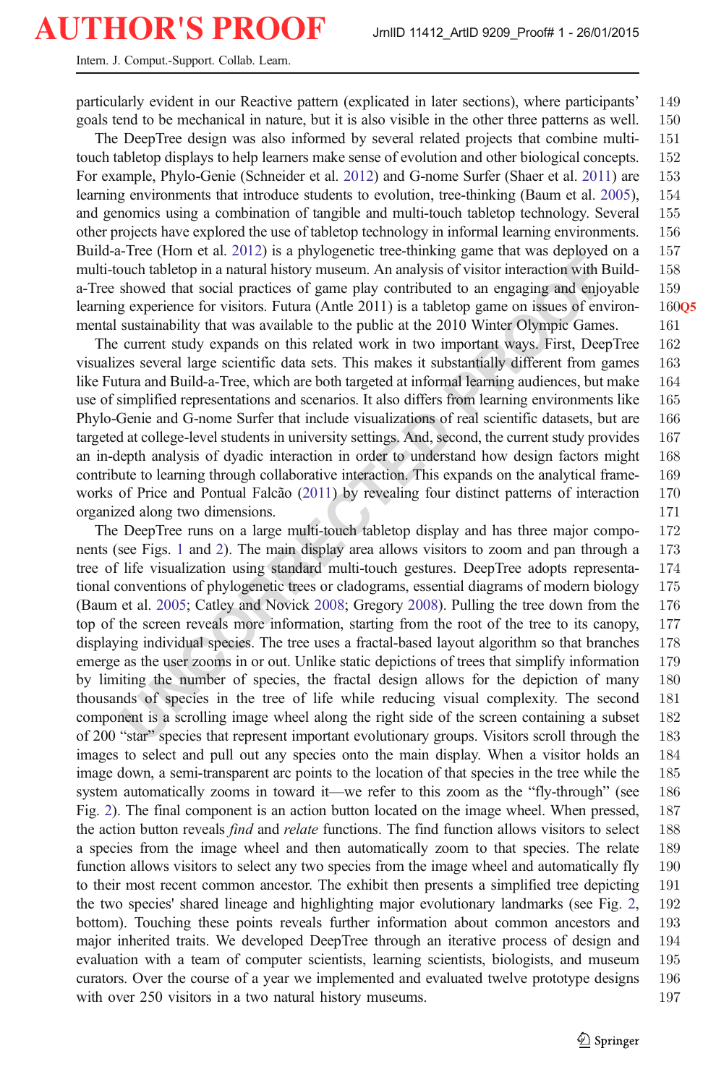Intern. J. Comput.-Support. Collab. Learn.

particularly evident in our Reactive pattern (explicated in later sections), where participants' 149 goals tend to be mechanical in nature, but it is also visible in the other three patterns as well. 150

The DeepTree design was also informed by several related projects that combine multi- 151 touch tabletop displays to help learners make sense of evolution and other biological concepts. 152 For example, Phylo-Genie (Schneider et al. [2012](#page-23-0)) and G-nome Surfer (Shaer et al. [2011\)](#page-23-0) are 153 learning environments that introduce students to evolution, tree-thinking (Baum et al. [2005](#page-21-0)), 154 and genomics using a combination of tangible and multi-touch tabletop technology. Several 155 other projects have explored the use of tabletop technology in informal learning environments. 156 Build-a-Tree (Horn et al. [2012\)](#page-22-0) is a phylogenetic tree-thinking game that was deployed on a 157 multi-touch tabletop in a natural history museum. An analysis of visitor interaction with Build- 158 a-Tree showed that social practices of game play contributed to an engaging and enjoyable 159 learning experience for visitors. Futura (Antle 2011) is a tabletop game on issues of environ-<br>16005 mental sustainability that was available to the public at the 2010 Winter Olympic Games. 161

The current study expands on this related work in two important ways. First, DeepTree 162 visualizes several large scientific data sets. This makes it substantially different from games 163 like Futura and Build-a-Tree, which are both targeted at informal learning audiences, but make 164 use of simplified representations and scenarios. It also differs from learning environments like 165 Phylo-Genie and G-nome Surfer that include visualizations of real scientific datasets, but are 166 targeted at college-level students in university settings. And, second, the current study provides 167 an in-depth analysis of dyadic interaction in order to understand how design factors might 168 contribute to learning through collaborative interaction. This expands on the analytical frame- 169 works of Price and Pontual Falcão (2011) by revealing four distinct patterns of interaction 170 organized along two dimensions. 171

Free Victor at 2012) as playing that the dimining game tank was cap-over<br>tuck tabletop in a natural history museum. An analysis of visitor interaction with B<br>showed that social practices of game play contributed to an eng The DeepTree runs on a large multi-touch tabletop display and has three major compo- 172 nents (see Figs. 1 and 2). The main display area allows visitors to zoom and pan through a 173 tree of life visualization using standard multi-touch gestures. DeepTree adopts representa- 174 tional conventions of phylogenetic trees or cladograms, essential diagrams of modern biology 175 (Baum et al. 2005; Catley and Novick 2008; Gregory 2008). Pulling the tree down from the 176 top of the screen reveals more information, starting from the root of the tree to its canopy, 177 displaying individual species. The tree uses a fractal-based layout algorithm so that branches 178 emerge as the user zooms in or out. Unlike static depictions of trees that simplify information 179 by limiting the number of species, the fractal design allows for the depiction of many 180 thousands of species in the tree of life while reducing visual complexity. The second 181 component is a scrolling image wheel along the right side of the screen containing a subset 182 of 200 "star" species that represent important evolutionary groups. Visitors scroll through the 183 images to select and pull out any species onto the main display. When a visitor holds an 184 image down, a semi-transparent arc points to the location of that species in the tree while the 185 system automatically zooms in toward it—we refer to this zoom as the "fly-through" (see 186 Fig. [2\)](#page-5-0). The final component is an action button located on the image wheel. When pressed, 187 the action button reveals *find* and *relate* functions. The find function allows visitors to select 188 a species from the image wheel and then automatically zoom to that species. The relate 189 function allows visitors to select any two species from the image wheel and automatically fly 190 to their most recent common ancestor. The exhibit then presents a simplified tree depicting 191 the two species' shared lineage and highlighting major evolutionary landmarks (see Fig. [2](#page-5-0), 192 bottom). Touching these points reveals further information about common ancestors and 193 major inherited traits. We developed DeepTree through an iterative process of design and 194 evaluation with a team of computer scientists, learning scientists, biologists, and museum 195 curators. Over the course of a year we implemented and evaluated twelve prototype designs 196 with over 250 visitors in a two natural history museums. 197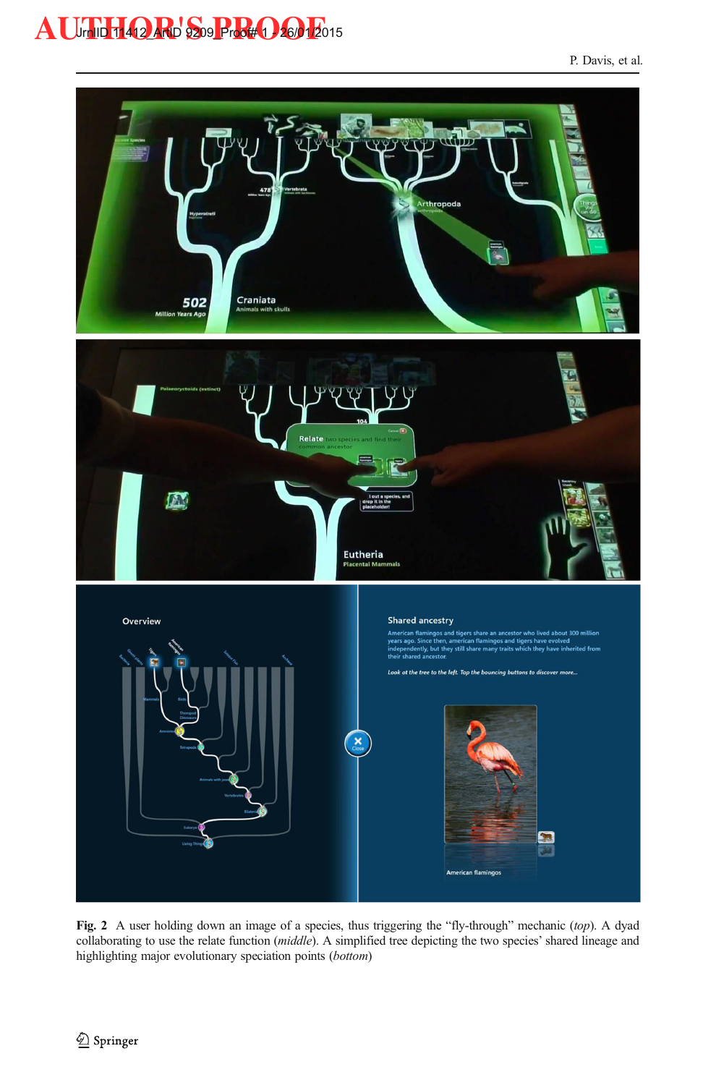# <span id="page-5-0"></span>**AUTHORD** 209 Prot 0 2012015



Fig. 2 A user holding down an image of a species, thus triggering the "fly-through" mechanic (top). A dyad collaborating to use the relate function (*middle*). A simplified tree depicting the two species' shared lineage and highlighting major evolutionary speciation points (bottom)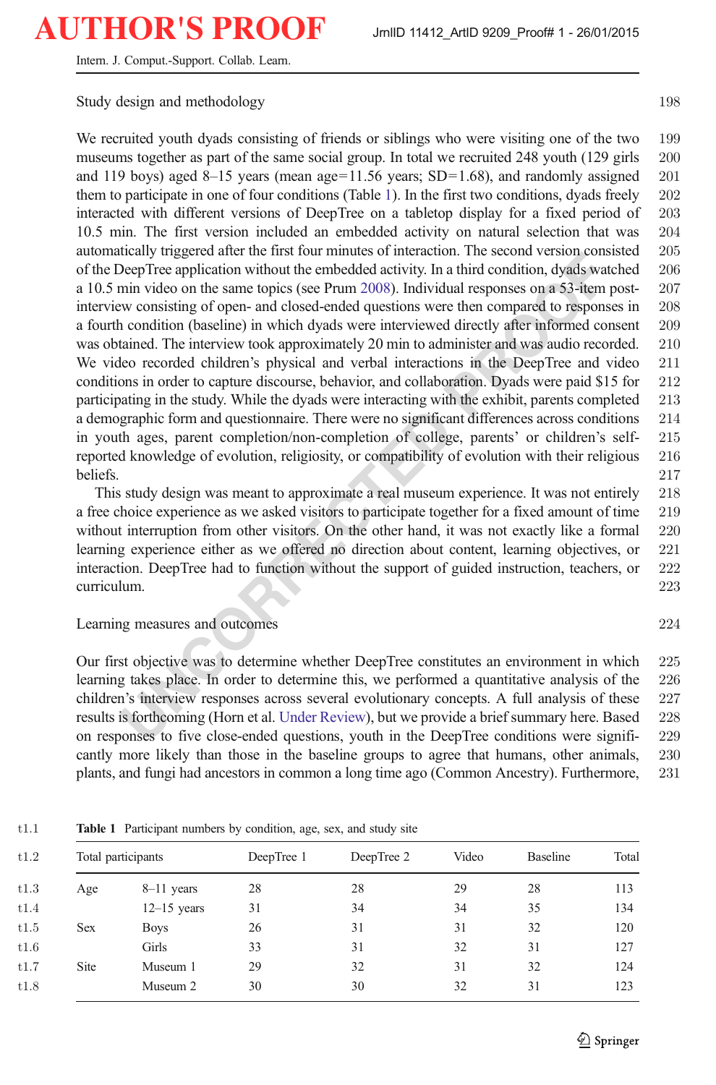Intern. J. Comput.-Support. Collab. Learn.

Study design and methodology 198

then we consisting of operation without the subsected and the stock of the stock of consists of consists of the stock of the stock of the stock of the stock of the stock of the stock of the stock of the increase on a spiri We recruited youth dyads consisting of friends or siblings who were visiting one of the two 199 museums together as part of the same social group. In total we recruited 248 youth (129 girls 200 and 119 boys) aged 8–15 years (mean age=11.56 years;  $SD=1.68$ ), and randomly assigned 201 them to participate in one of four conditions (Table 1). In the first two conditions, dyads freely 202 interacted with different versions of DeepTree on a tabletop display for a fixed period of 203 10.5 min. The first version included an embedded activity on natural selection that was 204 automatically triggered after the first four minutes of interaction. The second version consisted 205 of the DeepTree application without the embedded activity. In a third condition, dyads watched 206 a 10.5 min video on the same topics (see Prum [2008\)](#page-22-0). Individual responses on a 53-item post- 207 interview consisting of open- and closed-ended questions were then compared to responses in 208 a fourth condition (baseline) in which dyads were interviewed directly after informed consent 209 was obtained. The interview took approximately 20 min to administer and was audio recorded. 210 We video recorded children's physical and verbal interactions in the DeepTree and video 211 conditions in order to capture discourse, behavior, and collaboration. Dyads were paid \$15 for 212 participating in the study. While the dyads were interacting with the exhibit, parents completed 213 a demographic form and questionnaire. There were no significant differences across conditions 214 in youth ages, parent completion/non-completion of college, parents' or children's self- 215 reported knowledge of evolution, religiosity, or compatibility of evolution with their religious 216 beliefs. 217

This study design was meant to approximate a real museum experience. It was not entirely 218 a free choice experience as we asked visitors to participate together for a fixed amount of time 219 without interruption from other visitors. On the other hand, it was not exactly like a formal 220 learning experience either as we offered no direction about content, learning objectives, or 221 interaction. DeepTree had to function without the support of guided instruction, teachers, or 222 curriculum. 223

### Learning measures and outcomes 224

Our first objective was to determine whether DeepTree constitutes an environment in which 225 learning takes place. In order to determine this, we performed a quantitative analysis of the 226 children's interview responses across several evolutionary concepts. A full analysis of these 227 results is forthcoming (Horn et al. Under Review), but we provide a brief summary here. Based 228 on responses to five close-ended questions, youth in the DeepTree conditions were signifi- 229 cantly more likely than those in the baseline groups to agree that humans, other animals, 230 plants, and fungi had ancestors in common a long time ago (Common Ancestry). Furthermore, 231

|            | Total participants | DeepTree 1 | DeepTree 2 | Video | Baseline | Total |  |
|------------|--------------------|------------|------------|-------|----------|-------|--|
| Age        | $8-11$ years       | 28         | 28         | 29    | 28       | 113   |  |
|            | $12-15$ years      | 31         | 34         | 34    | 35       | 134   |  |
| <b>Sex</b> | <b>Boys</b>        | 26         | 31         | 31    | 32       | 120   |  |
|            | Girls              | 33         | 31         | 32    | 31       | 127   |  |
| Site       | Museum 1           | 29         | 32         | 31    | 32       | 124   |  |
|            | Museum 2           | 30         | 30         | 32    | 31       | 123   |  |
|            |                    |            |            |       |          |       |  |

t1.1 Table 1 Participant numbers by condition, age, sex, and study site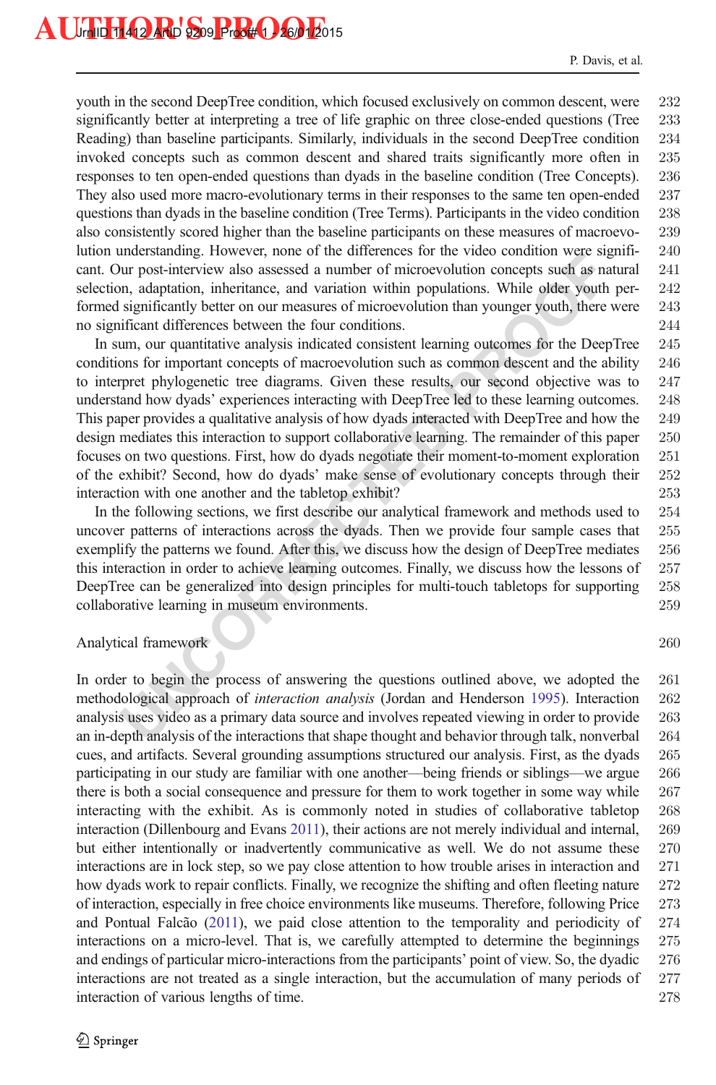youth in the second DeepTree condition, which focused exclusively on common descent, were 232 significantly better at interpreting a tree of life graphic on three close-ended questions (Tree 233 Reading) than baseline participants. Similarly, individuals in the second DeepTree condition 234 invoked concepts such as common descent and shared traits significantly more often in 235 responses to ten open-ended questions than dyads in the baseline condition (Tree Concepts). 236 They also used more macro-evolutionary terms in their responses to the same ten open-ended 237 questions than dyads in the baseline condition (Tree Terms). Participants in the video condition 238 also consistently scored higher than the baseline participants on these measures of macroevo- 239 lution understanding. However, none of the differences for the video condition were signifi- 240 cant. Our post-interview also assessed a number of microevolution concepts such as natural 241 selection, adaptation, inheritance, and variation within populations. While older youth per- 242 formed significantly better on our measures of microevolution than younger youth, there were 243 no significant differences between the four conditions. 244

Interastinality. Two two control in the unications of the Contation with any our post-interview also assessed a number of microevolution concepts such as an, adaptation, inheritance, and variation within populations. Whil In sum, our quantitative analysis indicated consistent learning outcomes for the DeepTree 245 conditions for important concepts of macroevolution such as common descent and the ability 246 to interpret phylogenetic tree diagrams. Given these results, our second objective was to 247 understand how dyads' experiences interacting with DeepTree led to these learning outcomes. 248 This paper provides a qualitative analysis of how dyads interacted with DeepTree and how the 249 design mediates this interaction to support collaborative learning. The remainder of this paper 250 focuses on two questions. First, how do dyads negotiate their moment-to-moment exploration 251 of the exhibit? Second, how do dyads' make sense of evolutionary concepts through their 252 interaction with one another and the tabletop exhibit? 253

In the following sections, we first describe our analytical framework and methods used to 254 uncover patterns of interactions across the dyads. Then we provide four sample cases that 255 exemplify the patterns we found. After this, we discuss how the design of DeepTree mediates 256 this interaction in order to achieve learning outcomes. Finally, we discuss how the lessons of 257 DeepTree can be generalized into design principles for multi-touch tabletops for supporting 258 collaborative learning in museum environments. 259

#### Analytical framework 260

In order to begin the process of answering the questions outlined above, we adopted the 261 methodological approach of *interaction analysis* (Jordan and Henderson [1995](#page-22-0)). Interaction 262 analysis uses video as a primary data source and involves repeated viewing in order to provide 263 an in-depth analysis of the interactions that shape thought and behavior through talk, nonverbal 264 cues, and artifacts. Several grounding assumptions structured our analysis. First, as the dyads 265 participating in our study are familiar with one another—being friends or siblings—we argue 266 there is both a social consequence and pressure for them to work together in some way while 267 interacting with the exhibit. As is commonly noted in studies of collaborative tabletop 268 interaction (Dillenbourg and Evans [2011\)](#page-21-0), their actions are not merely individual and internal, 269 but either intentionally or inadvertently communicative as well. We do not assume these 270 interactions are in lock step, so we pay close attention to how trouble arises in interaction and 271 how dyads work to repair conflicts. Finally, we recognize the shifting and often fleeting nature 272 of interaction, especially in free choice environments like museums. Therefore, following Price 273 and Pontual Falcão [\(2011\)](#page-22-0), we paid close attention to the temporality and periodicity of 274 interactions on a micro-level. That is, we carefully attempted to determine the beginnings 275 and endings of particular micro-interactions from the participants' point of view. So, the dyadic 276 interactions are not treated as a single interaction, but the accumulation of many periods of 277 interaction of various lengths of time. 278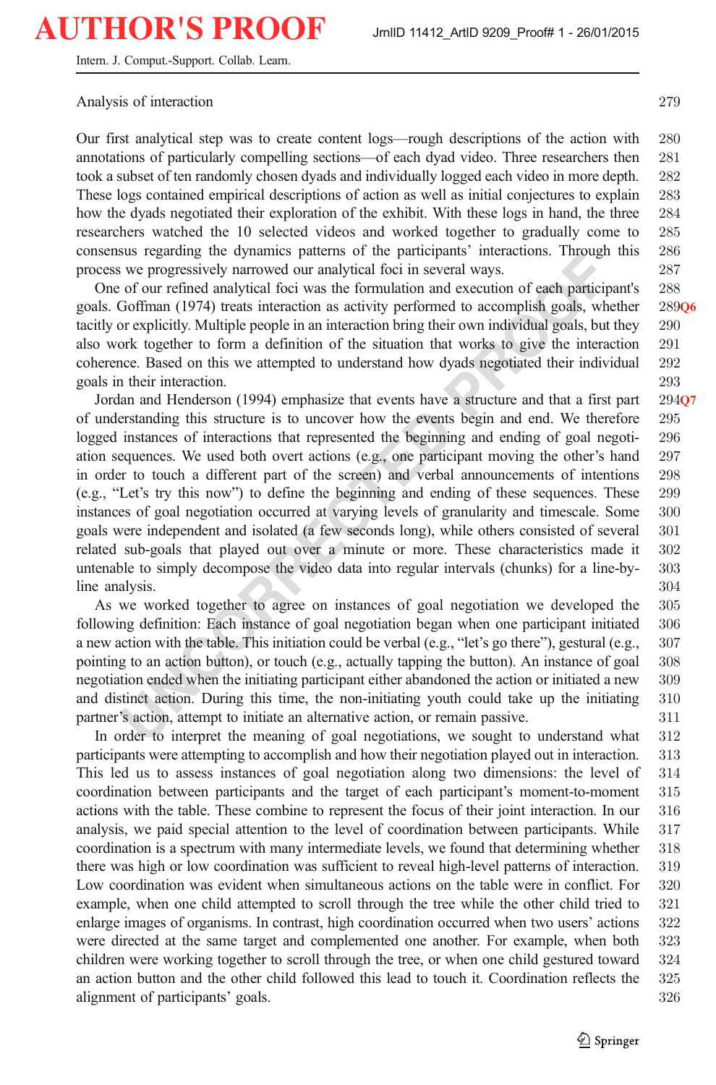Intern. J. Comput.-Support. Collab. Learn.

#### Analysis of interaction 279

Our first analytical step was to create content logs—rough descriptions of the action with 280 annotations of particularly compelling sections—of each dyad video. Three researchers then 281 took a subset of ten randomly chosen dyads and individually logged each video in more depth. 282 These logs contained empirical descriptions of action as well as initial conjectures to explain 283 how the dyads negotiated their exploration of the exhibit. With these logs in hand, the three 284 researchers watched the 10 selected videos and worked together to gradually come to 285 consensus regarding the dynamics patterns of the participants' interactions. Through this 286 process we progressively narrowed our analytical foci in several ways. 287

One of our refined analytical foci was the formulation and execution of each participant's 288 goals. Goffman (1974) treats interaction as activity performed to accomplish goals, whether 28906 tacitly or explicitly. Multiple people in an interaction bring their own individual goals, but they 290 also work together to form a definition of the situation that works to give the interaction 291 coherence. Based on this we attempted to understand how dyads negotiated their individual 292 goals in their interaction. 293

sis regarding the vynamics patcrists matched to the participans interesting in the particular syncom of each participant (1974) reached for in several ways. Through the orterind analytical foci was the formulation and exec Jordan and Henderson (1994) emphasize that events have a structure and that a first part 294Q7 of understanding this structure is to uncover how the events begin and end. We therefore 295 logged instances of interactions that represented the beginning and ending of goal negoti- 296 ation sequences. We used both overt actions (e.g., one participant moving the other's hand 297 in order to touch a different part of the screen) and verbal announcements of intentions 298 (e.g., "Let's try this now") to define the beginning and ending of these sequences. These 299 instances of goal negotiation occurred at varying levels of granularity and timescale. Some 300 goals were independent and isolated (a few seconds long), while others consisted of several 301 related sub-goals that played out over a minute or more. These characteristics made it 302 untenable to simply decompose the video data into regular intervals (chunks) for a line-by- 303 line analysis. 304

As we worked together to agree on instances of goal negotiation we developed the 305 following definition: Each instance of goal negotiation began when one participant initiated 306 a new action with the table. This initiation could be verbal (e.g., "let's go there"), gestural (e.g.,  $307$ pointing to an action button), or touch (e.g., actually tapping the button). An instance of goal 308 negotiation ended when the initiating participant either abandoned the action or initiated a new 309 and distinct action. During this time, the non-initiating youth could take up the initiating 310 partner's action, attempt to initiate an alternative action, or remain passive. 311

In order to interpret the meaning of goal negotiations, we sought to understand what 312 participants were attempting to accomplish and how their negotiation played out in interaction. 313 This led us to assess instances of goal negotiation along two dimensions: the level of 314 coordination between participants and the target of each participant's moment-to-moment 315 actions with the table. These combine to represent the focus of their joint interaction. In our 316 analysis, we paid special attention to the level of coordination between participants. While 317 coordination is a spectrum with many intermediate levels, we found that determining whether 318 there was high or low coordination was sufficient to reveal high-level patterns of interaction. 319 Low coordination was evident when simultaneous actions on the table were in conflict. For 320 example, when one child attempted to scroll through the tree while the other child tried to 321 enlarge images of organisms. In contrast, high coordination occurred when two users' actions 322 were directed at the same target and complemented one another. For example, when both 323 children were working together to scroll through the tree, or when one child gestured toward 324 an action button and the other child followed this lead to touch it. Coordination reflects the 325 alignment of participants' goals. 326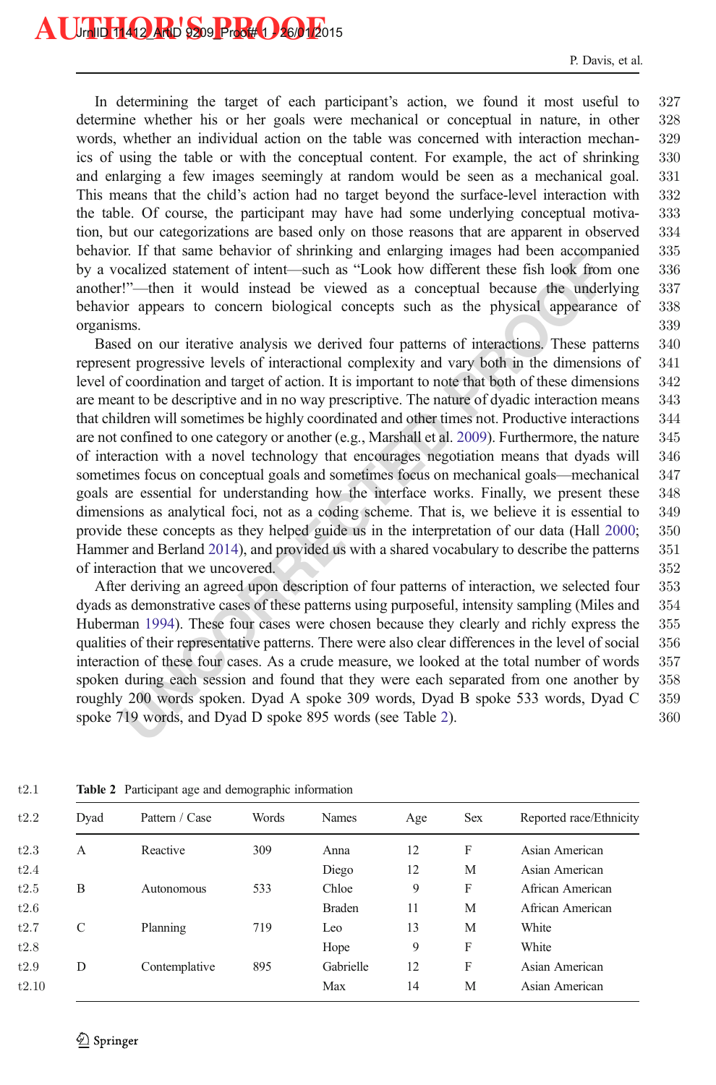In determining the target of each participant's action, we found it most useful to 327 determine whether his or her goals were mechanical or conceptual in nature, in other 328 words, whether an individual action on the table was concerned with interaction mechan- 329 ics of using the table or with the conceptual content. For example, the act of shrinking 330 and enlarging a few images seemingly at random would be seen as a mechanical goal. 331 This means that the child's action had no target beyond the surface-level interaction with 332 the table. Of course, the participant may have had some underlying conceptual motiva- 333 tion, but our categorizations are based only on those reasons that are apparent in observed 334 behavior. If that same behavior of shrinking and enlarging images had been accompanied 335 by a vocalized statement of intent—such as "Look how different these fish look from one 336 another!"—then it would instead be viewed as a conceptual because the underlying 337 behavior appears to concern biological concepts such as the physical appearance of 338 organisms. 339

n: It mat stant contact or sammling and cumpling images had coun accompage.<br>The matic coalized statement of intent—such as "Look how different these fish look from<br>ty-then it would instead be viewed as a conceptual because Based on our iterative analysis we derived four patterns of interactions. These patterns 340 represent progressive levels of interactional complexity and vary both in the dimensions of 341 level of coordination and target of action. It is important to note that both of these dimensions 342 are meant to be descriptive and in no way prescriptive. The nature of dyadic interaction means 343 that children will sometimes be highly coordinated and other times not. Productive interactions 344 are not confined to one category or another (e.g., Marshall et al. [2009\)](#page-22-0). Furthermore, the nature 345 of interaction with a novel technology that encourages negotiation means that dyads will 346 sometimes focus on conceptual goals and sometimes focus on mechanical goals—mechanical 347 goals are essential for understanding how the interface works. Finally, we present these 348 dimensions as analytical foci, not as a coding scheme. That is, we believe it is essential to 349 provide these concepts as they helped guide us in the interpretation of our data (Hall [2000](#page-22-0); 350 Hammer and Berland 2014), and provided us with a shared vocabulary to describe the patterns 351 of interaction that we uncovered.  $352$ 

After deriving an agreed upon description of four patterns of interaction, we selected four 353 dyads as demonstrative cases of these patterns using purposeful, intensity sampling (Miles and 354 Huberman 1994). These four cases were chosen because they clearly and richly express the 355 qualities of their representative patterns. There were also clear differences in the level of social 356 interaction of these four cases. As a crude measure, we looked at the total number of words 357 spoken during each session and found that they were each separated from one another by 358 roughly 200 words spoken. Dyad A spoke 309 words, Dyad B spoke 533 words, Dyad C 359 spoke 719 words, and Dyad D spoke 895 words (see Table 2).  $360$ 

| Dyad          | Pattern / Case | Words | Names         | Age | <b>Sex</b> | Reported race/Ethnicity |
|---------------|----------------|-------|---------------|-----|------------|-------------------------|
| A             | Reactive       | 309   | Anna          | 12  | F          | Asian American          |
|               |                |       | Diego         | 12  | M          | Asian American          |
| B             | Autonomous     | 533   | Chloe         | 9   | F          | African American        |
|               |                |       | <b>Braden</b> | 11  | M          | African American        |
| $\mathcal{C}$ | Planning       | 719   | Leo           | 13  | M          | White                   |
|               |                |       | Hope          | 9   | F          | White                   |
| D             | Contemplative  | 895   | Gabrielle     | 12  | F          | Asian American          |
|               |                |       | Max           | 14  | M          | Asian American          |

t2:1 Table 2 Participant age and demographic information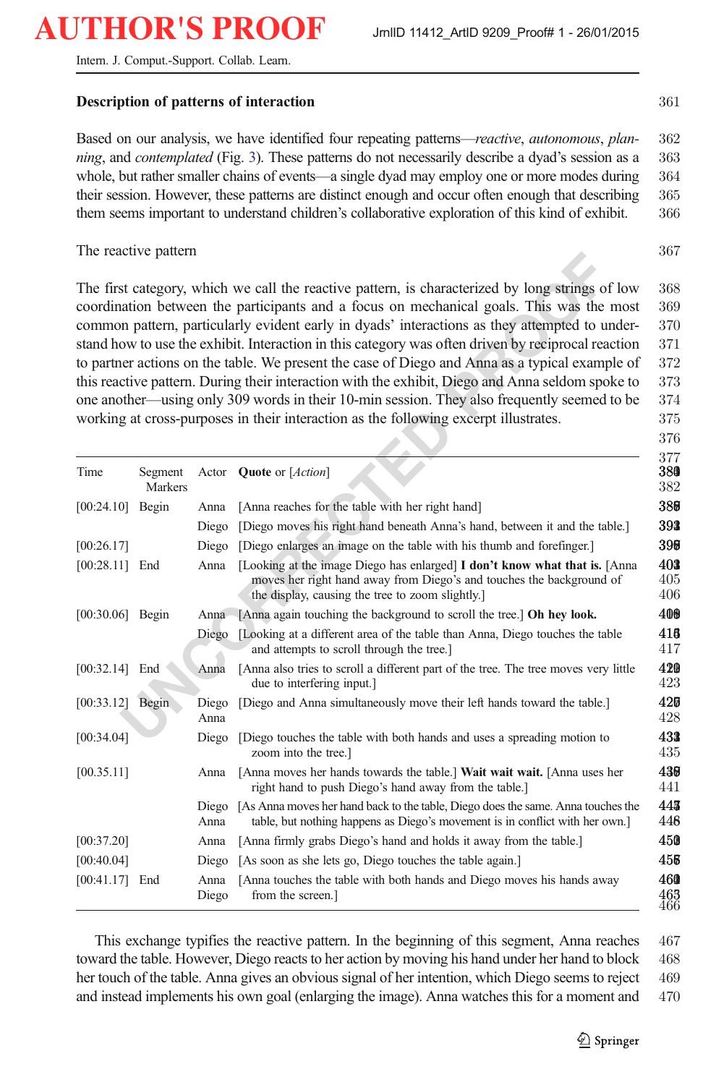Intern. J. Comput.-Support. Collab. Learn.

### **Description of patterns of interaction** 361

Based on our analysis, we have identified four repeating patterns—reactive, autonomous, plan- 362 ning, and *contemplated* (Fig. [3](#page-11-0)). These patterns do not necessarily describe a dyad's session as a 363 whole, but rather smaller chains of events—a single dyad may employ one or more modes during 364 their session. However, these patterns are distinct enough and occur often enough that describing 365 them seems important to understand children's collaborative exploration of this kind of exhibit. 366

### The reactive pattern 367

| THE ICACHVE PARKIN |                    |               |                                                                                                                                                                                                                                                                                                                                                                                                                                                                                                                                                                                                                                                                                                                                                                                                 | ov i                                                        |
|--------------------|--------------------|---------------|-------------------------------------------------------------------------------------------------------------------------------------------------------------------------------------------------------------------------------------------------------------------------------------------------------------------------------------------------------------------------------------------------------------------------------------------------------------------------------------------------------------------------------------------------------------------------------------------------------------------------------------------------------------------------------------------------------------------------------------------------------------------------------------------------|-------------------------------------------------------------|
|                    |                    |               | The first category, which we call the reactive pattern, is characterized by long strings of low<br>coordination between the participants and a focus on mechanical goals. This was the most<br>common pattern, particularly evident early in dyads' interactions as they attempted to under-<br>stand how to use the exhibit. Interaction in this category was often driven by reciprocal reaction<br>to partner actions on the table. We present the case of Diego and Anna as a typical example of<br>this reactive pattern. During their interaction with the exhibit, Diego and Anna seldom spoke to<br>one another—using only 309 words in their 10-min session. They also frequently seemed to be<br>working at cross-purposes in their interaction as the following excerpt illustrates. | 368<br>369<br>370<br>371<br>372<br>373<br>374<br>375<br>376 |
| Time               | Segment<br>Markers | Actor         | <b>Quote</b> or [Action]                                                                                                                                                                                                                                                                                                                                                                                                                                                                                                                                                                                                                                                                                                                                                                        | 377<br>380<br>382                                           |
| $[00:24.10]$ Begin |                    | Anna          | [Anna reaches for the table with her right hand]                                                                                                                                                                                                                                                                                                                                                                                                                                                                                                                                                                                                                                                                                                                                                | 380                                                         |
|                    |                    | Diego         | [Diego moves his right hand beneath Anna's hand, between it and the table.]                                                                                                                                                                                                                                                                                                                                                                                                                                                                                                                                                                                                                                                                                                                     | 392                                                         |
| [00:26.17]         |                    | Diego         | [Diego enlarges an image on the table with his thumb and forefinger.]                                                                                                                                                                                                                                                                                                                                                                                                                                                                                                                                                                                                                                                                                                                           | 390                                                         |
| $[00:28.11]$ End   |                    | Anna          | [Looking at the image Diego has enlarged] I don't know what that is. [Anna<br>moves her right hand away from Diego's and touches the background of<br>the display, causing the tree to zoom slightly.]                                                                                                                                                                                                                                                                                                                                                                                                                                                                                                                                                                                          | 402<br>405<br>406                                           |
| $[00:30.06]$ Begin |                    | Anna          | [Anna again touching the background to scroll the tree.] Oh hey look.                                                                                                                                                                                                                                                                                                                                                                                                                                                                                                                                                                                                                                                                                                                           | 400                                                         |
|                    |                    | Diego         | [Looking at a different area of the table than Anna, Diego touches the table<br>and attempts to scroll through the tree.]                                                                                                                                                                                                                                                                                                                                                                                                                                                                                                                                                                                                                                                                       | 416<br>417                                                  |
| $[00:32.14]$ End   |                    | Anna          | [Anna also tries to scroll a different part of the tree. The tree moves very little<br>due to interfering input.]                                                                                                                                                                                                                                                                                                                                                                                                                                                                                                                                                                                                                                                                               | 420<br>423                                                  |
| $[00:33.12]$ Begin |                    | Diego<br>Anna | [Diego and Anna simultaneously move their left hands toward the table.]                                                                                                                                                                                                                                                                                                                                                                                                                                                                                                                                                                                                                                                                                                                         | 420<br>428                                                  |
| [00:34.04]         |                    | Diego         | [Diego touches the table with both hands and uses a spreading motion to<br>zoom into the tree.]                                                                                                                                                                                                                                                                                                                                                                                                                                                                                                                                                                                                                                                                                                 | 432<br>435                                                  |
| [00.35.11]         |                    | Anna          | [Anna moves her hands towards the table.] Wait wait wait. [Anna uses her<br>right hand to push Diego's hand away from the table.]                                                                                                                                                                                                                                                                                                                                                                                                                                                                                                                                                                                                                                                               | 430<br>441                                                  |
|                    |                    | Diego<br>Anna | [As Anna moves her hand back to the table, Diego does the same. Anna touches the<br>table, but nothing happens as Diego's movement is in conflict with her own.]                                                                                                                                                                                                                                                                                                                                                                                                                                                                                                                                                                                                                                | 443<br>446                                                  |
| [00:37.20]         |                    | Anna          | [Anna firmly grabs Diego's hand and holds it away from the table.]                                                                                                                                                                                                                                                                                                                                                                                                                                                                                                                                                                                                                                                                                                                              | 45 <b>a</b>                                                 |
| [00:40.04]         |                    | Diego         | [As soon as she lets go, Diego touches the table again.]                                                                                                                                                                                                                                                                                                                                                                                                                                                                                                                                                                                                                                                                                                                                        | 456                                                         |
| $[00:41.17]$ End   |                    | Anna<br>Diego | [Anna touches the table with both hands and Diego moves his hands away<br>from the screen.]                                                                                                                                                                                                                                                                                                                                                                                                                                                                                                                                                                                                                                                                                                     | 460<br>463<br>466                                           |

This exchange typifies the reactive pattern. In the beginning of this segment, Anna reaches 467 toward the table. However, Diego reacts to her action by moving his hand under her hand to block 468 her touch of the table. Anna gives an obvious signal of her intention, which Diego seems to reject 469 and instead implements his own goal (enlarging the image). Anna watches this for a moment and 470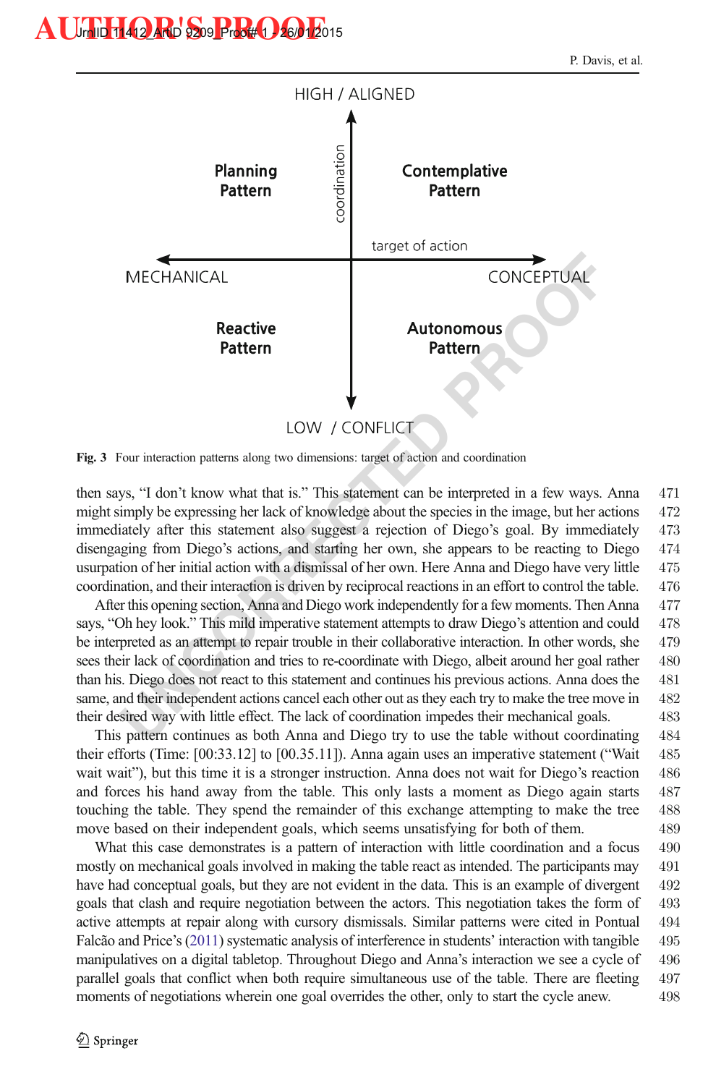<span id="page-11-0"></span>

Fig. 3 Four interaction patterns along two dimensions: target of action and coordination

then says, "I don't know what that is." This statement can be interpreted in a few ways. Anna 471 might simply be expressing her lack of knowledge about the species in the image, but her actions 472 immediately after this statement also suggest a rejection of Diego's goal. By immediately 473 disengaging from Diego's actions, and starting her own, she appears to be reacting to Diego 474 usurpation of her initial action with a dismissal of her own. Here Anna and Diego have very little 475 coordination, and their interaction is driven by reciprocal reactions in an effort to control the table. 476

After this opening section, Anna and Diego work independently for a few moments. Then Anna 477 says, "Oh hey look." This mild imperative statement attempts to draw Diego's attention and could 478 be interpreted as an attempt to repair trouble in their collaborative interaction. In other words, she 479 sees their lack of coordination and tries to re-coordinate with Diego, albeit around her goal rather 480 than his. Diego does not react to this statement and continues his previous actions. Anna does the 481 same, and their independent actions cancel each other out as they each try to make the tree move in 482 their desired way with little effect. The lack of coordination impedes their mechanical goals. 483

This pattern continues as both Anna and Diego try to use the table without coordinating 484 their efforts (Time: [00:33.12] to [00.35.11]). Anna again uses an imperative statement ("Wait 485 wait wait"), but this time it is a stronger instruction. Anna does not wait for Diego's reaction 486 and forces his hand away from the table. This only lasts a moment as Diego again starts 487 touching the table. They spend the remainder of this exchange attempting to make the tree 488 move based on their independent goals, which seems unsatisfying for both of them. 489

What this case demonstrates is a pattern of interaction with little coordination and a focus 490 mostly on mechanical goals involved in making the table react as intended. The participants may 491 have had conceptual goals, but they are not evident in the data. This is an example of divergent 492 goals that clash and require negotiation between the actors. This negotiation takes the form of 493 active attempts at repair along with cursory dismissals. Similar patterns were cited in Pontual 494 Falcão and Price's ([2011](#page-22-0)) systematic analysis of interference in students' interaction with tangible 495 manipulatives on a digital tabletop. Throughout Diego and Anna's interaction we see a cycle of 496 parallel goals that conflict when both require simultaneous use of the table. There are fleeting 497 moments of negotiations wherein one goal overrides the other, only to start the cycle anew. 498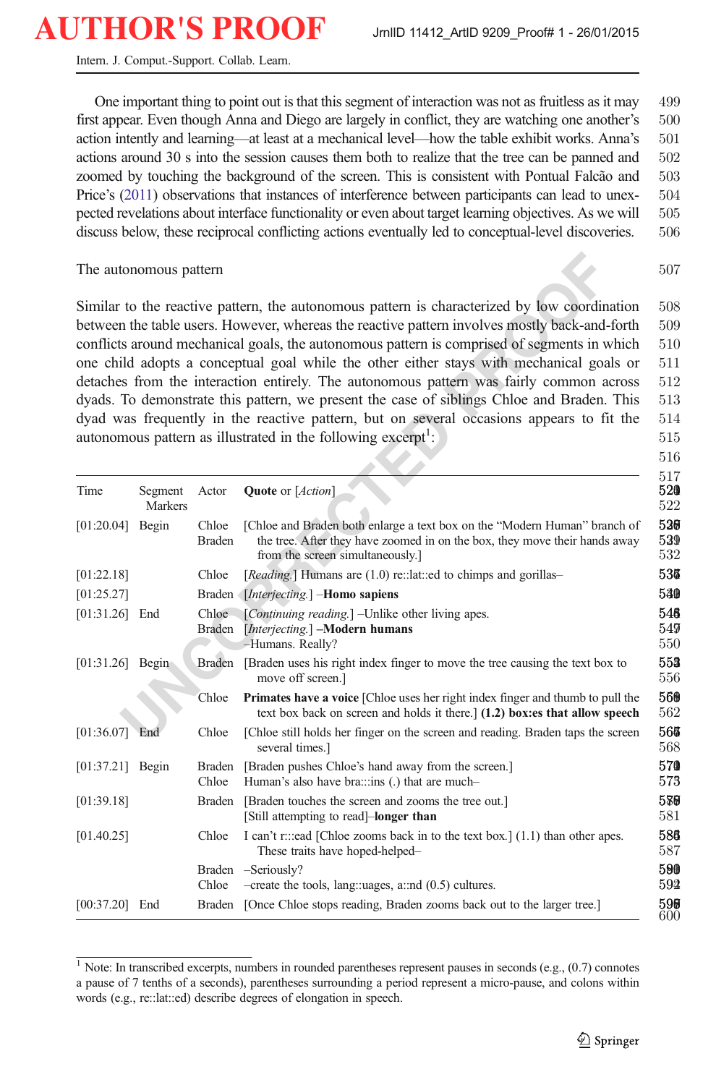Intern. J. Comput.-Support. Collab. Learn.

One important thing to point out is that this segment of interaction was not as fruitless as it may 499 first appear. Even though Anna and Diego are largely in conflict, they are watching one another's 500 action intently and learning—at least at a mechanical level—how the table exhibit works. Anna's 501 actions around 30 s into the session causes them both to realize that the tree can be panned and 502 zoomed by touching the background of the screen. This is consistent with Pontual Falcão and 503 Price's [\(2011\)](#page-22-0) observations that instances of interference between participants can lead to unex- 504 pected revelations about interface functionality or even about target learning objectives. As we will 505 discuss below, these reciprocal conflicting actions eventually led to conceptual-level discoveries. 506

| The autonomous pattern |                           |                        |                                                                                                                                                                                                                                                                                                                                                                                                                                                                                                                                                                                                                                                                                                                                                            |                                                             |  |  |
|------------------------|---------------------------|------------------------|------------------------------------------------------------------------------------------------------------------------------------------------------------------------------------------------------------------------------------------------------------------------------------------------------------------------------------------------------------------------------------------------------------------------------------------------------------------------------------------------------------------------------------------------------------------------------------------------------------------------------------------------------------------------------------------------------------------------------------------------------------|-------------------------------------------------------------|--|--|
|                        |                           |                        | Similar to the reactive pattern, the autonomous pattern is characterized by low coordination<br>between the table users. However, whereas the reactive pattern involves mostly back-and-forth<br>conflicts around mechanical goals, the autonomous pattern is comprised of segments in which<br>one child adopts a conceptual goal while the other either stays with mechanical goals or<br>detaches from the interaction entirely. The autonomous pattern was fairly common across<br>dyads. To demonstrate this pattern, we present the case of siblings Chloe and Braden. This<br>dyad was frequently in the reactive pattern, but on several occasions appears to fit the<br>autonomous pattern as illustrated in the following excerpt <sup>1</sup> : | 508<br>509<br>510<br>511<br>512<br>513<br>514<br>515<br>516 |  |  |
| Time                   | Segment<br><b>Markers</b> | Actor                  | <b>Quote</b> or [Action]                                                                                                                                                                                                                                                                                                                                                                                                                                                                                                                                                                                                                                                                                                                                   | 517<br>520<br>522                                           |  |  |
| [01:20.04]             | Begin                     | Chloe<br><b>Braden</b> | [Chloe and Braden both enlarge a text box on the "Modern Human" branch of<br>the tree. After they have zoomed in on the box, they move their hands away<br>from the screen simultaneously.]                                                                                                                                                                                                                                                                                                                                                                                                                                                                                                                                                                | 520<br>539<br>532                                           |  |  |
| [01:22.18]             |                           | Chloe                  | [Reading.] Humans are (1.0) re::lat::ed to chimps and gorillas-                                                                                                                                                                                                                                                                                                                                                                                                                                                                                                                                                                                                                                                                                            | 535                                                         |  |  |
| [01:25.27]             |                           | <b>Braden</b>          | [Interjecting.] -Homo sapiens                                                                                                                                                                                                                                                                                                                                                                                                                                                                                                                                                                                                                                                                                                                              | 540                                                         |  |  |
| [01:31.26]             | End                       | Chloe<br><b>Braden</b> | [ <i>Continuing reading.</i> ] - Unlike other living apes.<br>[Interjecting.] -Modern humans<br>-Humans. Really?                                                                                                                                                                                                                                                                                                                                                                                                                                                                                                                                                                                                                                           | 546<br>549<br>550                                           |  |  |
| $[01:31.26]$ Begin     |                           | <b>Braden</b>          | [Braden uses his right index finger to move the tree causing the text box to<br>move off screen.]                                                                                                                                                                                                                                                                                                                                                                                                                                                                                                                                                                                                                                                          | 553<br>556                                                  |  |  |
|                        |                           | Chloe                  | <b>Primates have a voice</b> [Chloe uses her right index finger and thumb to pull the<br>text box back on screen and holds it there.] $(1.2)$ box:es that allow speech                                                                                                                                                                                                                                                                                                                                                                                                                                                                                                                                                                                     | 560<br>562                                                  |  |  |
| $[01:36.07]$ End       |                           | Chloe                  | [Chloe still holds her finger on the screen and reading. Braden taps the screen<br>several times.]                                                                                                                                                                                                                                                                                                                                                                                                                                                                                                                                                                                                                                                         | 565<br>568                                                  |  |  |
| $[01:37.21]$ Begin     |                           | <b>Braden</b><br>Chloe | [Braden pushes Chloe's hand away from the screen.]<br>Human's also have bra:::ins (.) that are much-                                                                                                                                                                                                                                                                                                                                                                                                                                                                                                                                                                                                                                                       | 570<br>573                                                  |  |  |
| [01:39.18]             |                           | Braden                 | [Braden touches the screen and zooms the tree out.]<br>[Still attempting to read]-longer than                                                                                                                                                                                                                                                                                                                                                                                                                                                                                                                                                                                                                                                              | 580<br>581                                                  |  |  |
| [01.40.25]             |                           | Chloe                  | I can't r:::ead [Chloe zooms back in to the text box.] (1.1) than other apes.<br>These traits have hoped-helped-                                                                                                                                                                                                                                                                                                                                                                                                                                                                                                                                                                                                                                           | 586<br>587                                                  |  |  |
|                        |                           | Chloe                  | Braden -Seriously?<br>$-$ create the tools, lang: uages, a:: nd $(0.5)$ cultures.                                                                                                                                                                                                                                                                                                                                                                                                                                                                                                                                                                                                                                                                          | 590<br>592                                                  |  |  |
| $[00:37.20]$ End       |                           |                        | Braden [Once Chloe stops reading, Braden zooms back out to the larger tree.]                                                                                                                                                                                                                                                                                                                                                                                                                                                                                                                                                                                                                                                                               | 590<br>600                                                  |  |  |

 $1$  Note: In transcribed excerpts, numbers in rounded parentheses represent pauses in seconds (e.g.,  $(0.7)$  connotes a pause of 7 tenths of a seconds), parentheses surrounding a period represent a micro-pause, and colons within words (e.g., re::lat::ed) describe degrees of elongation in speech.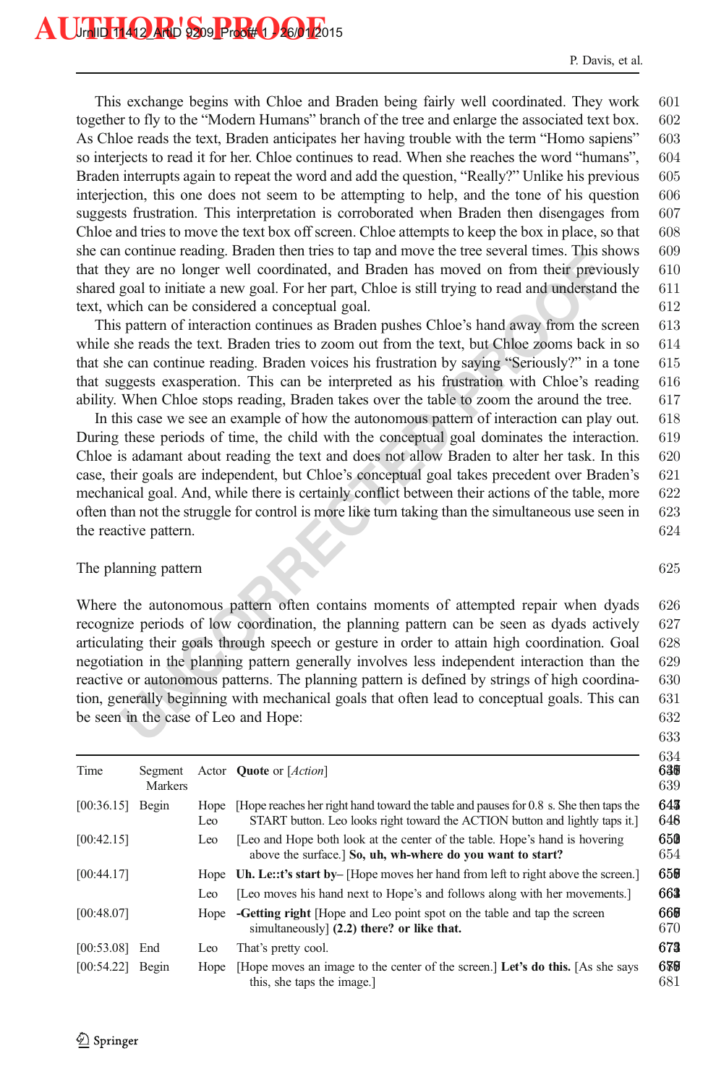This exchange begins with Chloe and Braden being fairly well coordinated. They work 601 together to fly to the "Modern Humans" branch of the tree and enlarge the associated text box. 602 As Chloe reads the text, Braden anticipates her having trouble with the term "Homo sapiens" 603 so interjects to read it for her. Chloe continues to read. When she reaches the word "humans", 604 Braden interrupts again to repeat the word and add the question, "Really?" Unlike his previous 605 interjection, this one does not seem to be attempting to help, and the tone of his question 606 suggests frustration. This interpretation is corroborated when Braden then disengages from 607 Chloe and tries to move the text box off screen. Chloe attempts to keep the box in place, so that 608 she can continue reading. Braden then tries to tap and move the tree several times. This shows 609 that they are no longer well coordinated, and Braden has moved on from their previously 610 shared goal to initiate a new goal. For her part, Chloe is still trying to read and understand the 611 text, which can be considered a conceptual goal. 612

This pattern of interaction continues as Braden pushes Chloe's hand away from the screen 613 while she reads the text. Braden tries to zoom out from the text, but Chloe zooms back in so 614 that she can continue reading. Braden voices his frustration by saying "Seriously?" in a tone 615 that suggests exasperation. This can be interpreted as his frustration with Chloe's reading 616 ability. When Chloe stops reading, Braden takes over the table to zoom the around the tree. 617

Continue Catampy. Dradiate matrices to the plant infore to the every and interestive the endept of the previous of the previous of the previous particle and Darden has moved on from their previogeal to initiate a new goal. In this case we see an example of how the autonomous pattern of interaction can play out. 618 During these periods of time, the child with the conceptual goal dominates the interaction. 619 Chloe is adamant about reading the text and does not allow Braden to alter her task. In this 620 case, their goals are independent, but Chloe's conceptual goal takes precedent over Braden's 621 mechanical goal. And, while there is certainly conflict between their actions of the table, more 622 often than not the struggle for control is more like turn taking than the simultaneous use seen in 623 the reactive pattern. 624

#### The planning pattern 625

Where the autonomous pattern often contains moments of attempted repair when dyads 626 recognize periods of low coordination, the planning pattern can be seen as dyads actively 627 articulating their goals through speech or gesture in order to attain high coordination. Goal 628 negotiation in the planning pattern generally involves less independent interaction than the 629 reactive or autonomous patterns. The planning pattern is defined by strings of high coordina- 630 tion, generally beginning with mechanical goals that often lead to conceptual goals. This can 631 be seen in the case of Leo and Hope: 632

|                  |                           |             |                                                                                                                                                                       | 634        |
|------------------|---------------------------|-------------|-----------------------------------------------------------------------------------------------------------------------------------------------------------------------|------------|
| Time             | Segment<br><b>Markers</b> |             | Actor <b>Quote</b> or [ <i>Action</i> ]                                                                                                                               | 630<br>639 |
| [00:36.15]       | Begin                     | Hope<br>Leo | [Hope reaches her right hand toward the table and pauses for 0.8 s. She then taps the<br>START button. Leo looks right toward the ACTION button and lightly taps it.] | 643<br>646 |
| [00:42.15]       |                           | Leo         | [Leo and Hope both look at the center of the table. Hope's hand is hovering<br>above the surface.] So, uh, wh-where do you want to start?                             | 650<br>654 |
| [00:44.17]       |                           |             | Hope Uh. Le::t's start by– [Hope moves her hand from left to right above the screen.]                                                                                 | 650        |
|                  |                           | Leo         | [Leo moves his hand next to Hope's and follows along with her movements.]                                                                                             | 662        |
| [00:48.07]       |                           |             | Hope -Getting right [Hope and Leo point spot on the table and tap the screen<br>simultaneously] $(2.2)$ there? or like that.                                          | 660<br>670 |
| $[00:53.08]$ End |                           | Leo         | That's pretty cool.                                                                                                                                                   | 673        |
| [00:54.22]       | Begin                     | Hope        | [Hope moves an image to the center of the screen.] Let's <b>do this.</b> [As she says<br>this, she taps the image.                                                    | 680<br>681 |

633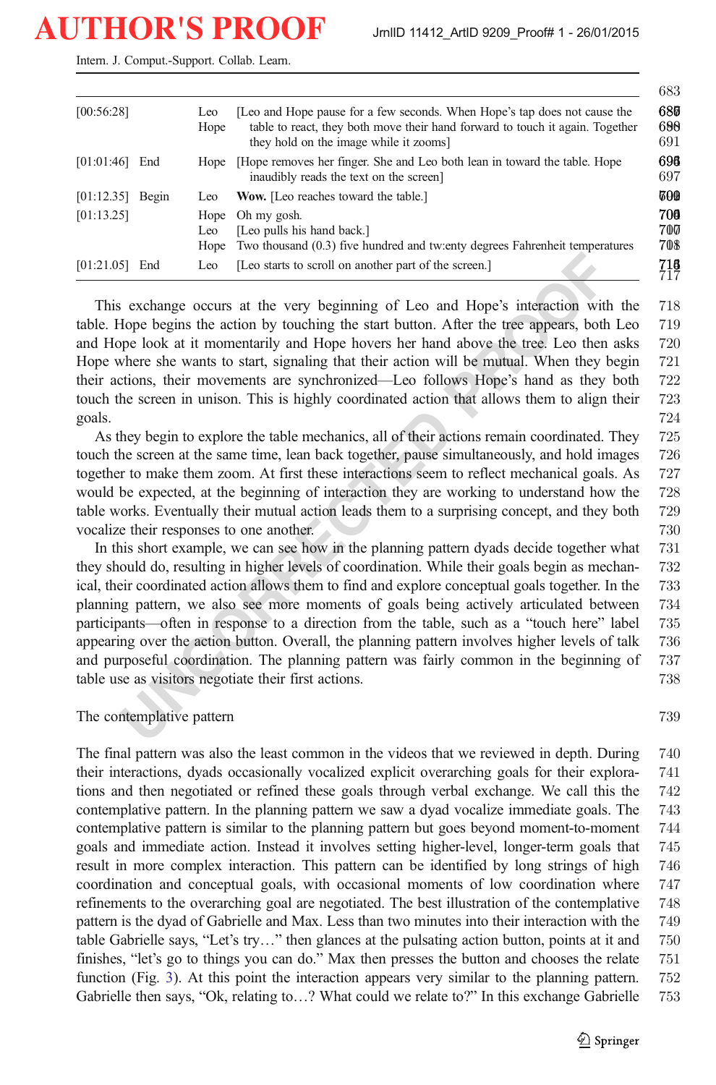Intern. J. Comput.-Support. Collab. Learn.

| [00:56:28]         |     | Leo<br>Hope | [Leo and Hope pause for a few seconds. When Hope's tap does not cause the<br>table to react, they both move their hand forward to touch it again. Together<br>they hold on the image while it zooms |
|--------------------|-----|-------------|-----------------------------------------------------------------------------------------------------------------------------------------------------------------------------------------------------|
| $[01:01:46]$ End   |     |             | Hope [Hope removes her finger. She and Leo both lean in toward the table. Hope<br>inaudibly reads the text on the screen]                                                                           |
| $[01:12.35]$ Begin |     | Leo         | <b>Wow.</b> [Leo reaches toward the table.]                                                                                                                                                         |
| [01:13.25]         |     | Leo         | Hope Oh my gosh.<br>[Leo pulls his hand back.]<br>Hope Two thousand (0.3) five hundred and tw: enty degrees Fahrenheit temperatures                                                                 |
| [01:21.05]         | End | Leo         | [Leo starts to scroll on another part of the screen.]                                                                                                                                               |

This exchange occurs at the very beginning of Leo and Hope's interaction with the 718 table. Hope begins the action by touching the start button. After the tree appears, both Leo 719 and Hope look at it momentarily and Hope hovers her hand above the tree. Leo then asks 720 Hope where she wants to start, signaling that their action will be mutual. When they begin 721 their actions, their movements are synchronized—Leo follows Hope's hand as they both 722 touch the screen in unison. This is highly coordinated action that allows them to align their 723 goals. 724

As they begin to explore the table mechanics, all of their actions remain coordinated. They 725 touch the screen at the same time, lean back together, pause simultaneously, and hold images 726 together to make them zoom. At first these interactions seem to reflect mechanical goals. As 727 would be expected, at the beginning of interaction they are working to understand how the 728 table works. Eventually their mutual action leads them to a surprising concept, and they both 729 vocalize their responses to one another. The method of the state of the state of the state of the state of the state of the state of the state of the state of the state of the state of the state of the state of the state o

S] End Leo [Leo starts to scroll on another part of the screen.]<br>
is cochange occurs at the very beginning of Leo and Hope's interaction with<br>
one begins the action by touching the start button. After the tree appears, bot In this short example, we can see how in the planning pattern dyads decide together what 731 they should do, resulting in higher levels of coordination. While their goals begin as mechan- 732 ical, their coordinated action allows them to find and explore conceptual goals together. In the 733 planning pattern, we also see more moments of goals being actively articulated between 734 participants—often in response to a direction from the table, such as a "touch here" label 735 appearing over the action button. Overall, the planning pattern involves higher levels of talk 736 and purposeful coordination. The planning pattern was fairly common in the beginning of 737 table use as visitors negotiate their first actions. 738

### The contemplative pattern 739

699

The final pattern was also the least common in the videos that we reviewed in depth. During 740 their interactions, dyads occasionally vocalized explicit overarching goals for their explora- 741 tions and then negotiated or refined these goals through verbal exchange. We call this the 742 contemplative pattern. In the planning pattern we saw a dyad vocalize immediate goals. The 743 contemplative pattern is similar to the planning pattern but goes beyond moment-to-moment 744 goals and immediate action. Instead it involves setting higher-level, longer-term goals that 745 result in more complex interaction. This pattern can be identified by long strings of high 746 coordination and conceptual goals, with occasional moments of low coordination where 747 refinements to the overarching goal are negotiated. The best illustration of the contemplative 748 pattern is the dyad of Gabrielle and Max. Less than two minutes into their interaction with the 749 table Gabrielle says, "Let's try…" then glances at the pulsating action button, points at it and 750 finishes, "let's go to things you can do." Max then presses the button and chooses the relate 751 function (Fig. [3](#page-11-0)). At this point the interaction appears very similar to the planning pattern. 752 Gabrielle then says, "Ok, relating to...? What could we relate to?" In this exchange Gabrielle 753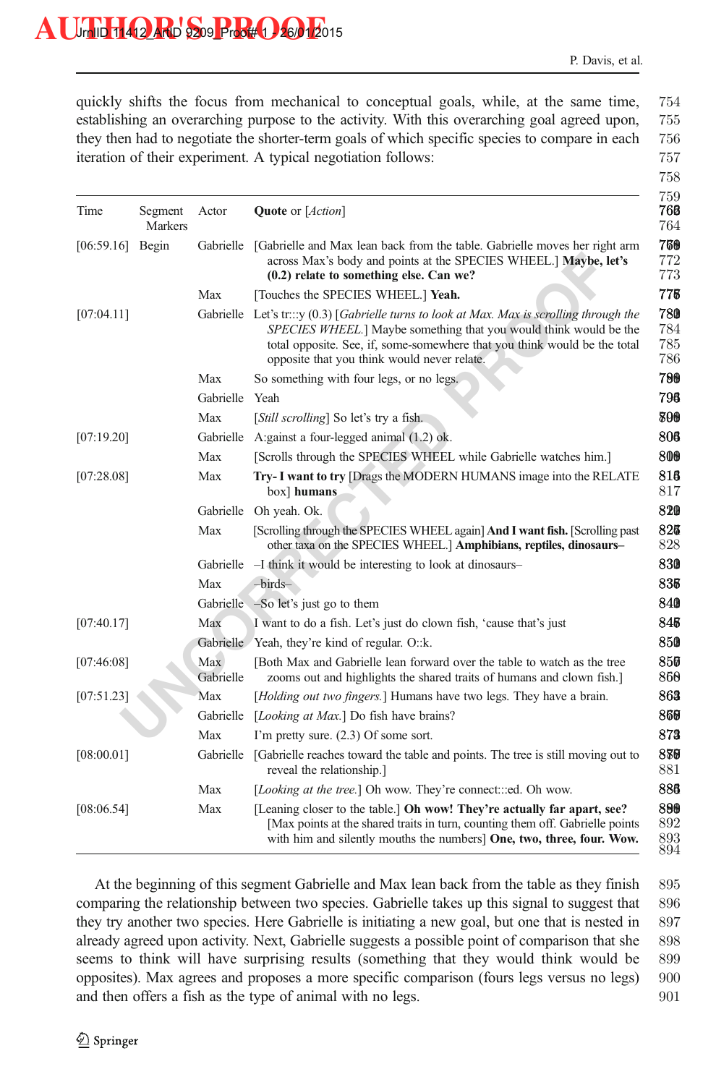758

quickly shifts the focus from mechanical to conceptual goals, while, at the same time, 754 establishing an overarching purpose to the activity. With this overarching goal agreed upon, 755 they then had to negotiate the shorter-term goals of which specific species to compare in each 756 iteration of their experiment. A typical negotiation follows: 757

| Time       | Segment<br><b>Markers</b> | Actor            | Quote or [Action]                                                                                                                                                                                                                                                                           |
|------------|---------------------------|------------------|---------------------------------------------------------------------------------------------------------------------------------------------------------------------------------------------------------------------------------------------------------------------------------------------|
| [06:59.16] | Begin                     |                  | Gabrielle [Gabrielle and Max lean back from the table. Gabrielle moves her right arm<br>across Max's body and points at the SPECIES WHEEL.] Maybe, let's<br>$(0.2)$ relate to something else. Can we?                                                                                       |
|            |                           | Max              | [Touches the SPECIES WHEEL.] Yeah.                                                                                                                                                                                                                                                          |
| [07:04.11] |                           |                  | Gabrielle Let's tr:::y (0.3) [Gabrielle turns to look at Max. Max is scrolling through the<br>SPECIES WHEEL.] Maybe something that you would think would be the<br>total opposite. See, if, some-somewhere that you think would be the total<br>opposite that you think would never relate. |
|            |                           | Max              | So something with four legs, or no legs.                                                                                                                                                                                                                                                    |
|            |                           | Gabrielle        | Yeah                                                                                                                                                                                                                                                                                        |
|            |                           | Max              | [ <i>Still scrolling</i> ] So let's try a fish.                                                                                                                                                                                                                                             |
| [07:19.20] |                           | Gabrielle        | A:gainst a four-legged animal (1.2) ok.                                                                                                                                                                                                                                                     |
|            |                           | Max              | [Scrolls through the SPECIES WHEEL while Gabrielle watches him.]                                                                                                                                                                                                                            |
| [07:28.08] |                           | Max              | Try-I want to try [Drags the MODERN HUMANS image into the RELATE<br>box] humans                                                                                                                                                                                                             |
|            |                           |                  | Gabrielle Oh yeah. Ok.                                                                                                                                                                                                                                                                      |
|            |                           | Max              | [Scrolling through the SPECIES WHEEL again] And I want fish. [Scrolling past<br>other taxa on the SPECIES WHEEL.] Amphibians, reptiles, dinosaurs-                                                                                                                                          |
|            |                           |                  | Gabrielle -I think it would be interesting to look at dinosaurs-                                                                                                                                                                                                                            |
|            |                           | Max              | $-birds-$                                                                                                                                                                                                                                                                                   |
|            |                           |                  | Gabrielle -So let's just go to them                                                                                                                                                                                                                                                         |
| [07:40.17] |                           | Max              | I want to do a fish. Let's just do clown fish, 'cause that's just                                                                                                                                                                                                                           |
|            |                           |                  | Gabrielle Yeah, they're kind of regular. O:: k.                                                                                                                                                                                                                                             |
| [07:46:08] |                           | Max<br>Gabrielle | [Both Max and Gabrielle lean forward over the table to watch as the tree<br>zooms out and highlights the shared traits of humans and clown fish.]                                                                                                                                           |
| [07:51.23] |                           | Max              | [Holding out two fingers.] Humans have two legs. They have a brain.                                                                                                                                                                                                                         |
|            |                           |                  | Gabrielle [Looking at Max.] Do fish have brains?                                                                                                                                                                                                                                            |
|            |                           | Max              | I'm pretty sure. (2.3) Of some sort.                                                                                                                                                                                                                                                        |
| [08:00.01] |                           | Gabrielle        | [Gabrielle reaches toward the table and points. The tree is still moving out to<br>reveal the relationship.]                                                                                                                                                                                |
|            |                           | Max              | [Looking at the tree.] Oh wow. They're connect:::ed. Oh wow.                                                                                                                                                                                                                                |
| [08:06.54] |                           | Max              | [Leaning closer to the table.] Oh wow! They're actually far apart, see?<br>[Max points at the shared traits in turn, counting them off. Gabrielle points<br>with him and silently mouths the numbers] <b>One, two, three, four. Wow.</b>                                                    |

At the beginning of this segment Gabrielle and Max lean back from the table as they finish 895 comparing the relationship between two species. Gabrielle takes up this signal to suggest that 896 they try another two species. Here Gabrielle is initiating a new goal, but one that is nested in 897 already agreed upon activity. Next, Gabrielle suggests a possible point of comparison that she 898 seems to think will have surprising results (something that they would think would be 899 opposites). Max agrees and proposes a more specific comparison (fours legs versus no legs) 900 and then offers a fish as the type of animal with no legs. 901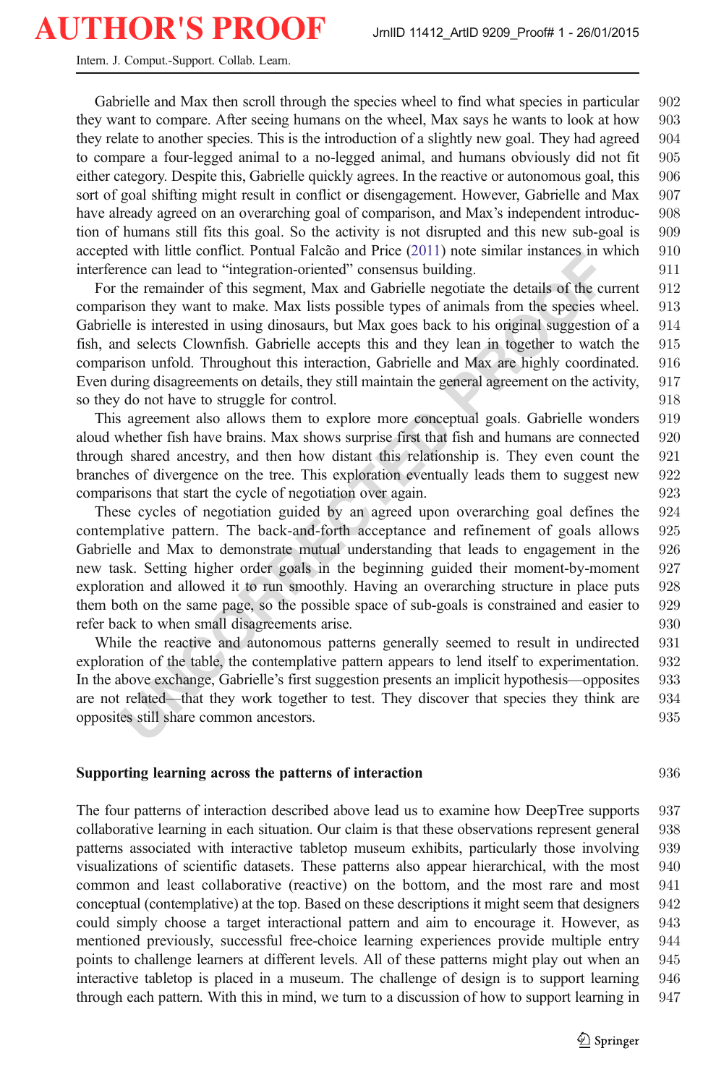Intern. J. Comput.-Support. Collab. Learn.

Gabrielle and Max then scroll through the species wheel to find what species in particular 902 they want to compare. After seeing humans on the wheel, Max says he wants to look at how 903 they relate to another species. This is the introduction of a slightly new goal. They had agreed 904 to compare a four-legged animal to a no-legged animal, and humans obviously did not fit 905 either category. Despite this, Gabrielle quickly agrees. In the reactive or autonomous goal, this 906 sort of goal shifting might result in conflict or disengagement. However, Gabrielle and Max 907 have already agreed on an overarching goal of comparison, and Max's independent introduc- 908 tion of humans still fits this goal. So the activity is not disrupted and this new sub-goal is 909 accepted with little conflict. Pontual Falcão and Price [\(2011\)](#page-22-0) note similar instances in which 910 interference can lead to "integration-oriented" consensus building. 911

For the remainder of this segment, Max and Gabrielle negotiate the details of the current 912 comparison they want to make. Max lists possible types of animals from the species wheel. 913 Gabrielle is interested in using dinosaurs, but Max goes back to his original suggestion of a 914 fish, and selects Clownfish. Gabrielle accepts this and they lean in together to watch the 915 comparison unfold. Throughout this interaction, Gabrielle and Max are highly coordinated. 916 Even during disagreements on details, they still maintain the general agreement on the activity, 917 so they do not have to struggle for control. 918

This agreement also allows them to explore more conceptual goals. Gabrielle wonders 919 aloud whether fish have brains. Max shows surprise first that fish and humans are connected 920 through shared ancestry, and then how distant this relationship is. They even count the 921 branches of divergence on the tree. This exploration eventually leads them to suggest new 922 comparisons that start the cycle of negotiation over again. 923

What mate counter. Fotmar Factor and Trice (2.01) fluores and the counter can lead to "integration-oriented" consensus building.<br>the remainder of this segment, Max and Gabrielle negotiate the details of the currence can le These cycles of negotiation guided by an agreed upon overarching goal defines the 924 contemplative pattern. The back-and-forth acceptance and refinement of goals allows 925 Gabrielle and Max to demonstrate mutual understanding that leads to engagement in the 926 new task. Setting higher order goals in the beginning guided their moment-by-moment 927 exploration and allowed it to run smoothly. Having an overarching structure in place puts 928 them both on the same page, so the possible space of sub-goals is constrained and easier to 929 refer back to when small disagreements arise. 930

While the reactive and autonomous patterns generally seemed to result in undirected 931 exploration of the table, the contemplative pattern appears to lend itself to experimentation. 932 In the above exchange, Gabrielle's first suggestion presents an implicit hypothesis—opposites 933 are not related—that they work together to test. They discover that species they think are 934 opposites still share common ancestors. 935

#### Supporting learning across the patterns of interaction 936

The four patterns of interaction described above lead us to examine how DeepTree supports 937 collaborative learning in each situation. Our claim is that these observations represent general 938 patterns associated with interactive tabletop museum exhibits, particularly those involving 939 visualizations of scientific datasets. These patterns also appear hierarchical, with the most 940 common and least collaborative (reactive) on the bottom, and the most rare and most 941 conceptual (contemplative) at the top. Based on these descriptions it might seem that designers 942 could simply choose a target interactional pattern and aim to encourage it. However, as 943 mentioned previously, successful free-choice learning experiences provide multiple entry 944 points to challenge learners at different levels. All of these patterns might play out when an 945 interactive tabletop is placed in a museum. The challenge of design is to support learning 946 through each pattern. With this in mind, we turn to a discussion of how to support learning in 947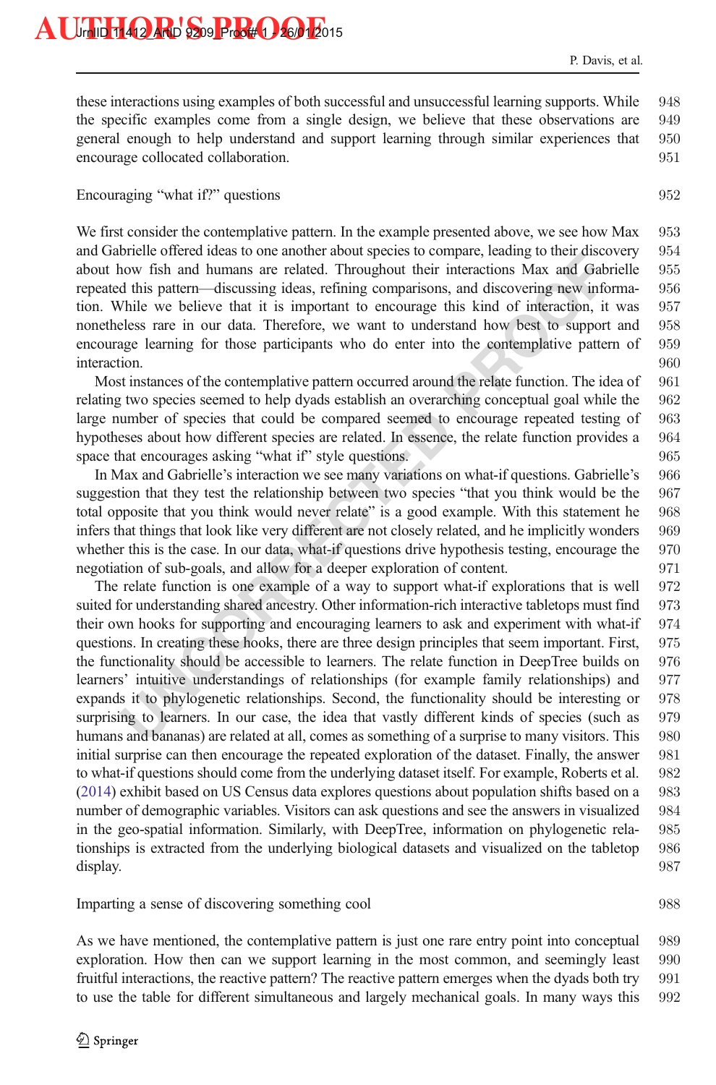these interactions using examples of both successful and unsuccessful learning supports. While 948 the specific examples come from a single design, we believe that these observations are 949 general enough to help understand and support learning through similar experiences that 950 encourage collocated collaboration. 951

Encouraging "what if?" questions 952

We first consider the contemplative pattern. In the example presented above, we see how Max 953 and Gabrielle offered ideas to one another about species to compare, leading to their discovery 954 about how fish and humans are related. Throughout their interactions Max and Gabrielle 955 repeated this pattern—discussing ideas, refining comparisons, and discovering new informa- 956 tion. While we believe that it is important to encourage this kind of interaction, it was 957 nonetheless rare in our data. Therefore, we want to understand how best to support and 958 encourage learning for those participants who do enter into the contemplative pattern of 959 interaction. 960

Most instances of the contemplative pattern occurred around the relate function. The idea of 961 relating two species seemed to help dyads establish an overarching conceptual goal while the 962 large number of species that could be compared seemed to encourage repeated testing of 963 hypotheses about how different species are related. In essence, the relate function provides a 964 space that encourages asking "what if" style questions. 965

In Max and Gabrielle's interaction we see many variations on what-if questions. Gabrielle's 966 suggestion that they test the relationship between two species "that you think would be the 967 total opposite that you think would never relate" is a good example. With this statement he 968 infers that things that look like very different are not closely related, and he implicitly wonders 969 whether this is the case. In our data, what-if questions drive hypothesis testing, encourage the 970 negotiation of sub-goals, and allow for a deeper exploration of content. 971

Fronten cricculates of one and other spects to converge that calculation in<br>tow fish and humans are related. Throughout their interactions Max and Gab<br>d this pattern—discussing ideas, refining comparisons, and discovering The relate function is one example of a way to support what-if explorations that is well 972 suited for understanding shared ancestry. Other information-rich interactive tabletops must find 973 their own hooks for supporting and encouraging learners to ask and experiment with what-if 974 questions. In creating these hooks, there are three design principles that seem important. First, 975 the functionality should be accessible to learners. The relate function in DeepTree builds on 976 learners' intuitive understandings of relationships (for example family relationships) and 977 expands it to phylogenetic relationships. Second, the functionality should be interesting or 978 surprising to learners. In our case, the idea that vastly different kinds of species (such as 979 humans and bananas) are related at all, comes as something of a surprise to many visitors. This 980 initial surprise can then encourage the repeated exploration of the dataset. Finally, the answer 981 to what-if questions should come from the underlying dataset itself. For example, Roberts et al. 982 ([2014](#page-23-0)) exhibit based on US Census data explores questions about population shifts based on a 983 number of demographic variables. Visitors can ask questions and see the answers in visualized 984 in the geo-spatial information. Similarly, with DeepTree, information on phylogenetic rela- 985 tionships is extracted from the underlying biological datasets and visualized on the tabletop 986 display. 987

Imparting a sense of discovering something cool 988

As we have mentioned, the contemplative pattern is just one rare entry point into conceptual 989 exploration. How then can we support learning in the most common, and seemingly least 990 fruitful interactions, the reactive pattern? The reactive pattern emerges when the dyads both try 991 to use the table for different simultaneous and largely mechanical goals. In many ways this 992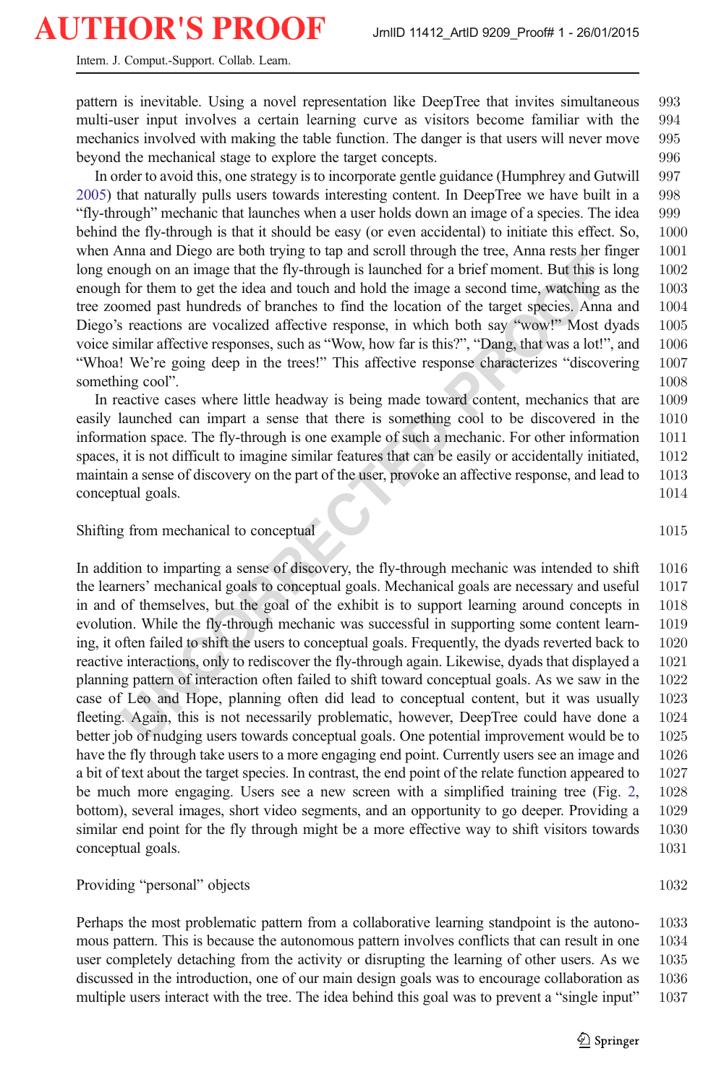Intern. J. Comput.-Support. Collab. Learn.

pattern is inevitable. Using a novel representation like DeepTree that invites simultaneous 993 multi-user input involves a certain learning curve as visitors become familiar with the 994 mechanics involved with making the table function. The danger is that users will never move 995 beyond the mechanical stage to explore the target concepts. 996

In order to avoid this, one strategy is to incorporate gentle guidance (Humphrey and Gutwill 997 [2005](#page-22-0)) that naturally pulls users towards interesting content. In DeepTree we have built in a 998 "fly-through" mechanic that launches when a user holds down an image of a species. The idea 999 behind the fly-through is that it should be easy (or even accidental) to initiate this effect. So, 1000 when Anna and Diego are both trying to tap and scroll through the tree, Anna rests her finger 1001 long enough on an image that the fly-through is launched for a brief moment. But this is long 1002 enough for them to get the idea and touch and hold the image a second time, watching as the 1003 tree zoomed past hundreds of branches to find the location of the target species. Anna and 1004 Diego's reactions are vocalized affective response, in which both say "wow!" Most dyads 1005 voice similar affective responses, such as "Wow, how far is this?", "Dang, that was a lot!", and 1006 "Whoa! We're going deep in the trees!" This affective response characterizes "discovering 1007 something cool". 1008

In reactive cases where little headway is being made toward content, mechanics that are 1009 easily launched can impart a sense that there is something cool to be discovered in the 1010 information space. The fly-through is one example of such a mechanic. For other information 1011 spaces, it is not difficult to imagine similar features that can be easily or accidentally initiated, 1012 maintain a sense of discovery on the part of the user, provoke an affective response, and lead to 1013 conceptual goals. 1014

### Shifting from mechanical to conceptual 1015

man an Drego are out anying to up and second model and the interest of the man case of the fly-through is launched for a brief moment. But this is for them to get the idea and touch and hold the image a second time, watchi In addition to imparting a sense of discovery, the fly-through mechanic was intended to shift 1016 the learners' mechanical goals to conceptual goals. Mechanical goals are necessary and useful 1017 in and of themselves, but the goal of the exhibit is to support learning around concepts in 1018 evolution. While the fly-through mechanic was successful in supporting some content learn- 1019 ing, it often failed to shift the users to conceptual goals. Frequently, the dyads reverted back to 1020 reactive interactions, only to rediscover the fly-through again. Likewise, dyads that displayed a 1021 planning pattern of interaction often failed to shift toward conceptual goals. As we saw in the 1022 case of Leo and Hope, planning often did lead to conceptual content, but it was usually 1023 fleeting. Again, this is not necessarily problematic, however, DeepTree could have done a 1024 better job of nudging users towards conceptual goals. One potential improvement would be to 1025 have the fly through take users to a more engaging end point. Currently users see an image and 1026 a bit of text about the target species. In contrast, the end point of the relate function appeared to 1027 be much more engaging. Users see a new screen with a simplified training tree (Fig. [2](#page-5-0), 1028 bottom), several images, short video segments, and an opportunity to go deeper. Providing a 1029 similar end point for the fly through might be a more effective way to shift visitors towards 1030 conceptual goals. 1031

### Providing "personal" objects 1032

Perhaps the most problematic pattern from a collaborative learning standpoint is the autono- 1033 mous pattern. This is because the autonomous pattern involves conflicts that can result in one 1034 user completely detaching from the activity or disrupting the learning of other users. As we 1035 discussed in the introduction, one of our main design goals was to encourage collaboration as 1036 multiple users interact with the tree. The idea behind this goal was to prevent a "single input" 1037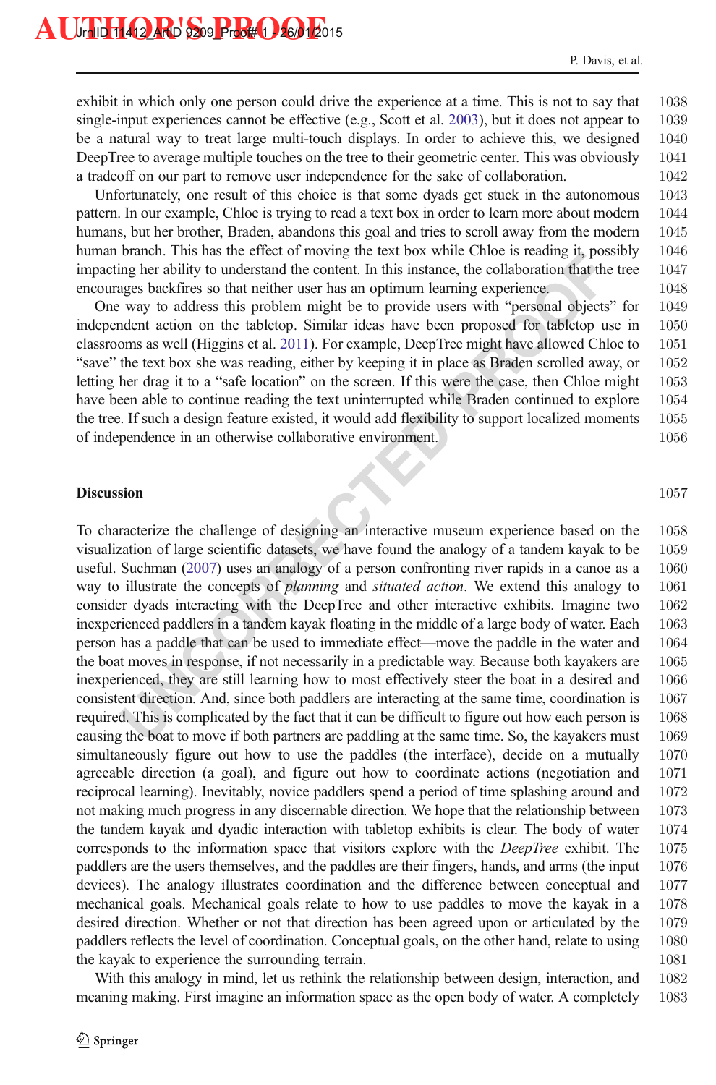exhibit in which only one person could drive the experience at a time. This is not to say that 1038 single-input experiences cannot be effective (e.g., Scott et al. [2003\)](#page-23-0), but it does not appear to 1039 be a natural way to treat large multi-touch displays. In order to achieve this, we designed 1040 DeepTree to average multiple touches on the tree to their geometric center. This was obviously 1041 a tradeoff on our part to remove user independence for the sake of collaboration. 1042

Unfortunately, one result of this choice is that some dyads get stuck in the autonomous 1043 pattern. In our example, Chloe is trying to read a text box in order to learn more about modern 1044 humans, but her brother, Braden, abandons this goal and tries to scroll away from the modern 1045 human branch. This has the effect of moving the text box while Chloe is reading it, possibly 1046 impacting her ability to understand the content. In this instance, the collaboration that the tree 1047 encourages backfires so that neither user has an optimum learning experience. 1048

One way to address this problem might be to provide users with "personal objects" for 1049 independent action on the tabletop. Similar ideas have been proposed for tabletop use in 1050 classrooms as well (Higgins et al. [2011](#page-22-0)). For example, DeepTree might have allowed Chloe to 1051 "save" the text box she was reading, either by keeping it in place as Braden scrolled away, or 1052 letting her drag it to a "safe location" on the screen. If this were the case, then Chloe might 1053 have been able to continue reading the text uninterrupted while Braden continued to explore 1054 the tree. If such a design feature existed, it would add flexibility to support localized moments 1055 of independence in an otherwise collaborative environment. 1056

#### **Discussion** 1057

branch. This hus to chect or moving the text over white clines the solelal grap, possible and the bonderstand the content. In this instance, the collaboration that the grees backfires so that neither user has an optimum le To characterize the challenge of designing an interactive museum experience based on the 1058 visualization of large scientific datasets, we have found the analogy of a tandem kayak to be 1059 useful. Suchman (2007) uses an analogy of a person confronting river rapids in a canoe as a 1060 way to illustrate the concepts of *planning* and *situated action*. We extend this analogy to 1061 consider dyads interacting with the DeepTree and other interactive exhibits. Imagine two 1062 inexperienced paddlers in a tandem kayak floating in the middle of a large body of water. Each 1063 person has a paddle that can be used to immediate effect—move the paddle in the water and 1064 the boat moves in response, if not necessarily in a predictable way. Because both kayakers are 1065 inexperienced, they are still learning how to most effectively steer the boat in a desired and 1066 consistent direction. And, since both paddlers are interacting at the same time, coordination is 1067 required. This is complicated by the fact that it can be difficult to figure out how each person is 1068 causing the boat to move if both partners are paddling at the same time. So, the kayakers must 1069 simultaneously figure out how to use the paddles (the interface), decide on a mutually 1070 agreeable direction (a goal), and figure out how to coordinate actions (negotiation and 1071 reciprocal learning). Inevitably, novice paddlers spend a period of time splashing around and 1072 not making much progress in any discernable direction. We hope that the relationship between 1073 the tandem kayak and dyadic interaction with tabletop exhibits is clear. The body of water 1074 corresponds to the information space that visitors explore with the *DeepTree* exhibit. The 1075 paddlers are the users themselves, and the paddles are their fingers, hands, and arms (the input 1076 devices). The analogy illustrates coordination and the difference between conceptual and 1077 mechanical goals. Mechanical goals relate to how to use paddles to move the kayak in a 1078 desired direction. Whether or not that direction has been agreed upon or articulated by the 1079 paddlers reflects the level of coordination. Conceptual goals, on the other hand, relate to using 1080 the kayak to experience the surrounding terrain. 1081

With this analogy in mind, let us rethink the relationship between design, interaction, and 1082 meaning making. First imagine an information space as the open body of water. A completely 1083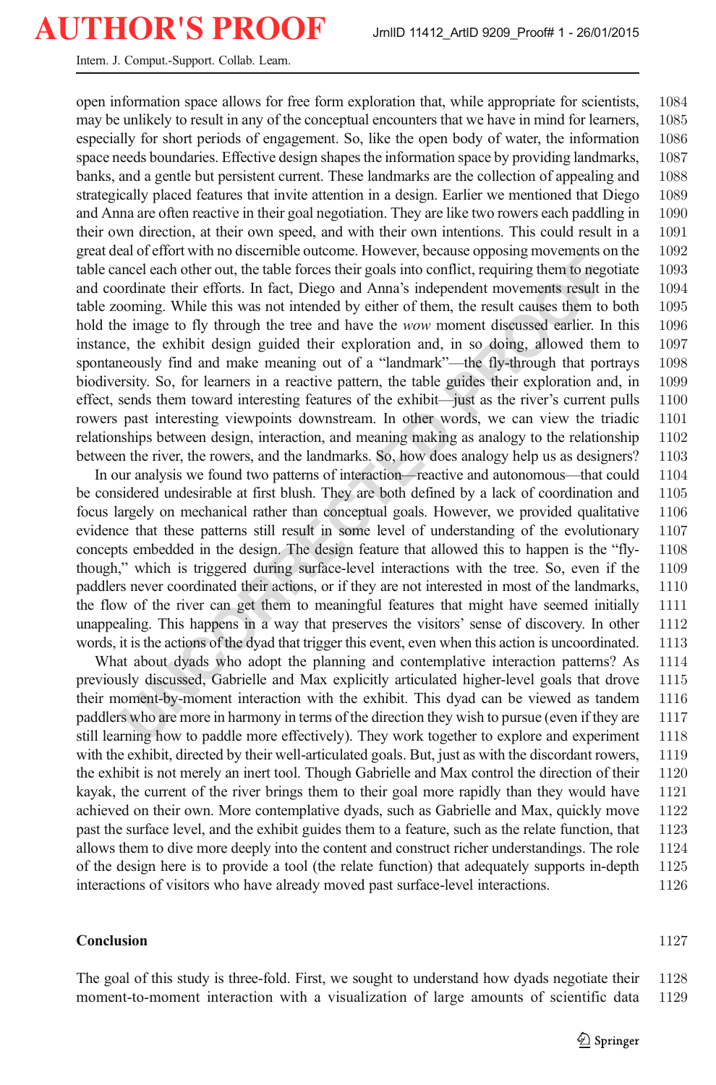Intern. J. Comput.-Support. Collab. Learn.

and or content wor allocation to describe the controller and or more deach other out, the table forces their goals into conflict, requiring them to go ordinate their efforts. In fact, Diego and Anna's independent movements open information space allows for free form exploration that, while appropriate for scientists, 1084 may be unlikely to result in any of the conceptual encounters that we have in mind for learners, 1085 especially for short periods of engagement. So, like the open body of water, the information 1086 space needs boundaries. Effective design shapes the information space by providing landmarks, 1087 banks, and a gentle but persistent current. These landmarks are the collection of appealing and 1088 strategically placed features that invite attention in a design. Earlier we mentioned that Diego 1089 and Anna are often reactive in their goal negotiation. They are like two rowers each paddling in 1090 their own direction, at their own speed, and with their own intentions. This could result in a 1091 great deal of effort with no discernible outcome. However, because opposing movements on the 1092 table cancel each other out, the table forces their goals into conflict, requiring them to negotiate 1093 and coordinate their efforts. In fact, Diego and Anna's independent movements result in the 1094 table zooming. While this was not intended by either of them, the result causes them to both 1095 hold the image to fly through the tree and have the *wow* moment discussed earlier. In this 1096 instance, the exhibit design guided their exploration and, in so doing, allowed them to 1097 spontaneously find and make meaning out of a "landmark"—the fly-through that portrays 1098 biodiversity. So, for learners in a reactive pattern, the table guides their exploration and, in 1099 effect, sends them toward interesting features of the exhibit—just as the river's current pulls 1100 rowers past interesting viewpoints downstream. In other words, we can view the triadic 1101 relationships between design, interaction, and meaning making as analogy to the relationship 1102 between the river, the rowers, and the landmarks. So, how does analogy help us as designers? 1103

In our analysis we found two patterns of interaction—reactive and autonomous—that could 1104 be considered undesirable at first blush. They are both defined by a lack of coordination and 1105 focus largely on mechanical rather than conceptual goals. However, we provided qualitative 1106 evidence that these patterns still result in some level of understanding of the evolutionary 1107 concepts embedded in the design. The design feature that allowed this to happen is the "fly- 1108 though," which is triggered during surface-level interactions with the tree. So, even if the 1109 paddlers never coordinated their actions, or if they are not interested in most of the landmarks, 1110 the flow of the river can get them to meaningful features that might have seemed initially 1111 unappealing. This happens in a way that preserves the visitors' sense of discovery. In other 1112 words, it is the actions of the dyad that trigger this event, even when this action is uncoordinated. 1113

What about dyads who adopt the planning and contemplative interaction patterns? As 1114 previously discussed, Gabrielle and Max explicitly articulated higher-level goals that drove 1115 their moment-by-moment interaction with the exhibit. This dyad can be viewed as tandem 1116 paddlers who are more in harmony in terms of the direction they wish to pursue (even if they are 1117 still learning how to paddle more effectively). They work together to explore and experiment 1118 with the exhibit, directed by their well-articulated goals. But, just as with the discordant rowers, 1119 the exhibit is not merely an inert tool. Though Gabrielle and Max control the direction of their 1120 kayak, the current of the river brings them to their goal more rapidly than they would have 1121 achieved on their own. More contemplative dyads, such as Gabrielle and Max, quickly move 1122 past the surface level, and the exhibit guides them to a feature, such as the relate function, that 1123 allows them to dive more deeply into the content and construct richer understandings. The role 1124 of the design here is to provide a tool (the relate function) that adequately supports in-depth 1125 interactions of visitors who have already moved past surface-level interactions. 1126

### **Conclusion** 1127

The goal of this study is three-fold. First, we sought to understand how dyads negotiate their 1128 moment-to-moment interaction with a visualization of large amounts of scientific data 1129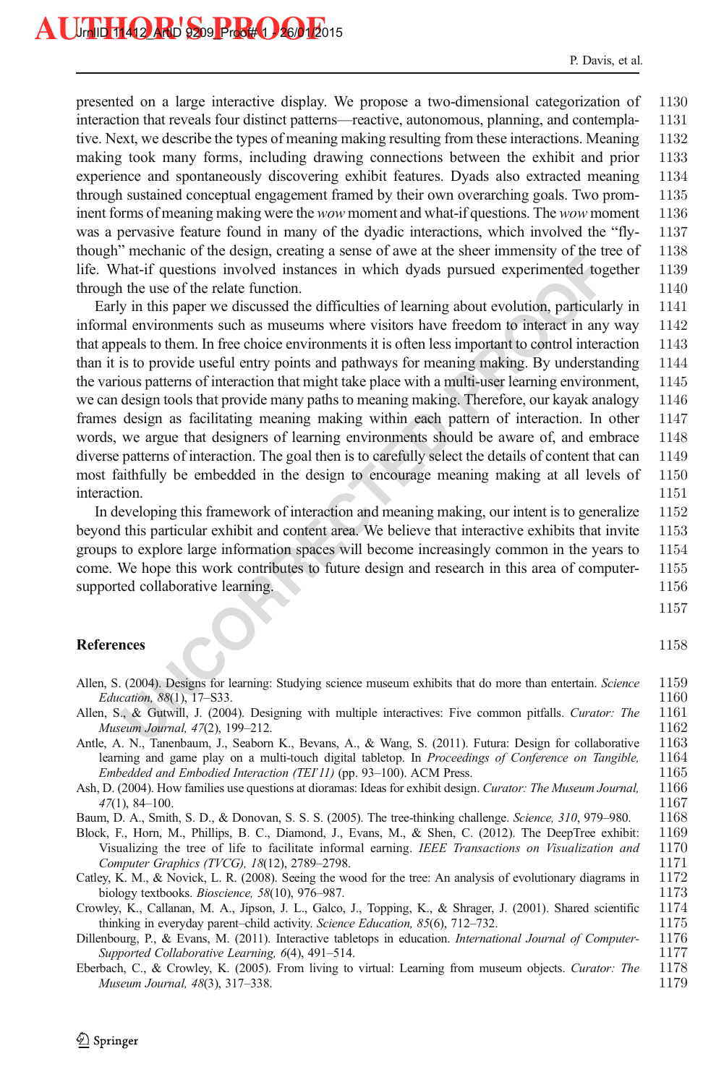1157

<span id="page-21-0"></span>presented on a large interactive display. We propose a two-dimensional categorization of 1130 interaction that reveals four distinct patterns—reactive, autonomous, planning, and contempla- 1131 tive. Next, we describe the types of meaning making resulting from these interactions. Meaning 1132 making took many forms, including drawing connections between the exhibit and prior 1133 experience and spontaneously discovering exhibit features. Dyads also extracted meaning 1134 through sustained conceptual engagement framed by their own overarching goals. Two prom- 1135 inent forms of meaning making were the *wow* moment and what-if questions. The *wow* moment 1136 was a pervasive feature found in many of the dyadic interactions, which involved the "fly- 1137 though" mechanic of the design, creating a sense of awe at the sheer immensity of the tree of 1138 life. What-if questions involved instances in which dyads pursued experimented together 1139 through the use of the relate function. 1140

Incurance of the design, creating a statio are since in minimality of the time<br>interf questions involved instances in which dyads pursued experimented tog<br>the use of the relate function.<br>That-if questions involved instanc Early in this paper we discussed the difficulties of learning about evolution, particularly in 1141 informal environments such as museums where visitors have freedom to interact in any way 1142 that appeals to them. In free choice environments it is often less important to control interaction 1143 than it is to provide useful entry points and pathways for meaning making. By understanding 1144 the various patterns of interaction that might take place with a multi-user learning environment, 1145 we can design tools that provide many paths to meaning making. Therefore, our kayak analogy 1146 frames design as facilitating meaning making within each pattern of interaction. In other 1147 words, we argue that designers of learning environments should be aware of, and embrace 1148 diverse patterns of interaction. The goal then is to carefully select the details of content that can 1149 most faithfully be embedded in the design to encourage meaning making at all levels of 1150 interaction. 1151

In developing this framework of interaction and meaning making, our intent is to generalize 1152 beyond this particular exhibit and content area. We believe that interactive exhibits that invite 1153 groups to explore large information spaces will become increasingly common in the years to 1154 come. We hope this work contributes to future design and research in this area of computer- 1155 supported collaborative learning. 1156

### References 1158

Allen, S. (2004). Designs for learning: Studying science museum exhibits that do more than entertain. Science 1159<br>Education. 88(1). 17–S33. Education, 88(1), 17-S33.

- Allen, S., & Gutwill, J. (2004). Designing with multiple interactives: Five common pitfalls. Curator: The 1161 Museum Journal, 47(2), 199–212.<br>le, A. N., Tanenbaum, J., Seaborn K., Bevans, A., & Wang, S. (2011). Futura: Design for collaborative 1163
- Antle, A. N., Tanenbaum, J., Seaborn K., Bevans, A., & Wang, S. (2011). Futura: Design for collaborative learning and game play on a multi-touch digital tabletop. In Proceedings of Conference on Tangible, 1164 Embedded and Embodied Interaction (TEI' II) (pp. 93–100). ACM Press. [2014] LET 1165 [165] LET 1166 [167] LET 1166 [167] D. (2004). How families use questions at dioramas: Ideas for exhibit design. *Curator: The Museum Jou*
- Ash, D. (2004). How families use questions at dioramas: Ideas for exhibit design. Curator: The Museum Journal,  $47(1)$ , 84–100. 1167
- Baum, D. A., Smith, S. D., & Donovan, S. S. S. (2005). The tree-thinking challenge. *Science, 310*, 979–980. 1168<br>Block, F., Horn, M., Phillips, B. C., Diamond, J., Evans, M., & Shen, C. (2012). The DeepTree exhibit: 1169
- Block, F., Horn, M., Phillips, B. C., Diamond, J., Evans, M., & Shen, C. (2012). The DeepTree exhibit: 1169 Visualizing the tree of life to facilitate informal earning. IEEE Transactions on Visualization and 1170 Visualizing the tree of life to facilitate informal earning. IEEE Transactions on Visualization and Computer Graphics (TVCG), 18(12), 2789–2798. 1171
- Catley, K. M., & Novick, L. R. (2008). Seeing the wood for the tree: An analysis of evolutionary diagrams in 1172 biology textbooks. *Bioscience*, 58(10), 976–987. biology textbooks. *Bioscience*, 58(10), 976–987.<br>wley, K., Callanan, M. A., Jipson, J. L., Galco, J., Topping, K., & Shrager, J. (2001). Shared scientific 1174
- Crowley, K., Callanan, M. A., Jipson, J. L., Galco, J., Topping, K., & Shrager, J. (2001). Shared scientific 1174<br>thinking in everydav parent-child activity. Science Education. 85(6). 712-732. thinking in everyday parent–child activity. Science Education, 85(6), 712–732. 100 175<br>enbourg, P., & Evans, M. (2011). Interactive tabletops in education. *International Journal of Computer*-1176
- Dillenbourg, P., & Evans, M. (2011). Interactive tabletops in education. *International Journal of Computer-* 1176<br>Supported Collaborative Learning, 6(4), 491-514. Supported Collaborative Learning, 6(4), 491-514.
- Eberbach, C., & Crowley, K. (2005). From living to virtual: Learning from museum objects. Curator: The 1178 Museum Journal, 48(3), 317–338. 1179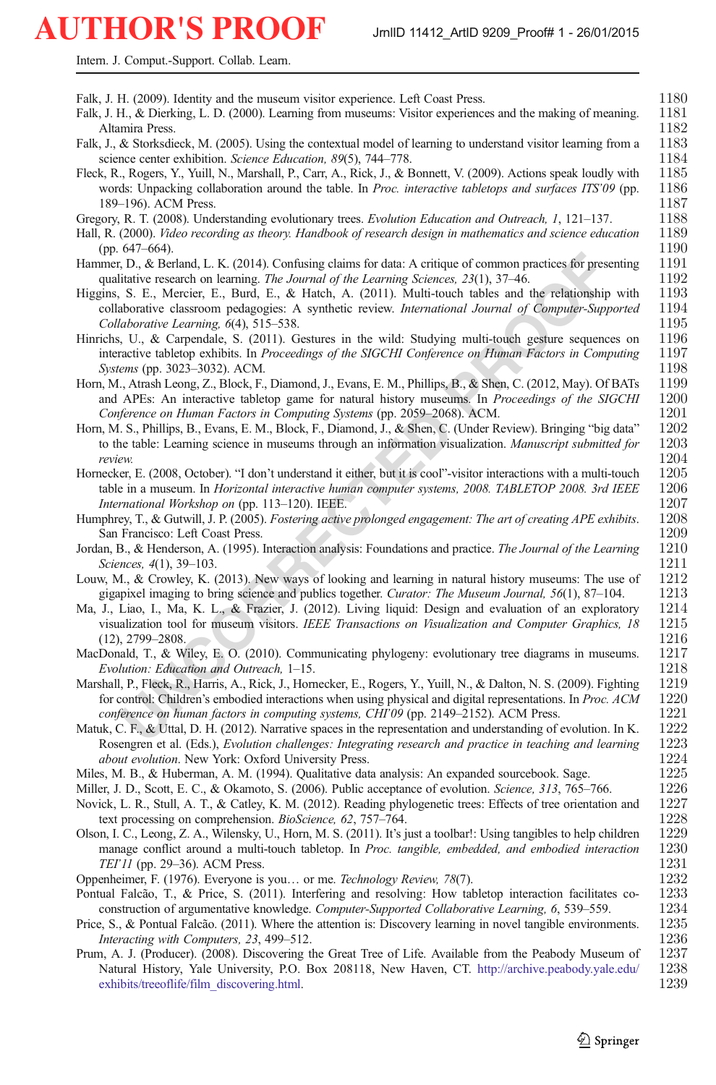<span id="page-22-0"></span>Intern. J. Comput.-Support. Collab. Learn.

- Falk, J. H. (2009). Identity and the museum visitor experience. Left Coast Press. 1180<br>Falk J. H. & Dierking J. D. (2000). Learning from museums: Visitor experiences and the making of meaning 1181 Falk, J. H., & Dierking, L. D. (2000). Learning from museums: Visitor experiences and the making of meaning. 1181 Altamira Press. 1182
- Falk, J., & Storksdieck, M. (2005). Using the contextual model of learning to understand visitor learning from a 1183 science center exhibition. *Science Education*, 89(5), 744–778.<br>
k. R., Rogers, Y., Yuill, N., Marshall, P., Carr, A., Rick, J., & Bonnett, V. (2009). Actions speak loudly with 1185
- Fleck, R., Rogers, Y., Yuill, N., Marshall, P., Carr, A., Rick, J., & Bonnett, V. (2009). Actions speak loudly with 1185 words: Unnacking collaboration around the table. In *Proc. interactive tabletons and surfaces ITS'09* words: Unpacking collaboration around the table. In *Proc. interactive tabletops and surfaces ITS'09* (pp. 1186<br>189–196). ACM Press. 189–196). ACM Press. 1187<br>
1187 - 1188 Pory R. T. (2008). Understanding evolutionary trees *Evolution Education and Outreach* 1 121–137 1188
- 
- Gregory, R. T. (2008). Understanding evolutionary trees. *Evolution Education and Outreach, 1*, 121–137. 1188<br>Hall. R. (2000). *Video recording as theory. Handbook of research design in mathematics and science education* 1 Hall, R. (2000). Video recording as theory. Handbook of research design in mathematics and science education 1189 (pp. 647–664).  $1190$
- Hammer, D., & Berland, L. K. (2014). Confusing claims for data: A critique of common practices for presenting 1191 qualitative research on learning. *The Journal of the Learning Sciences*. 23(1). 37–46. 1192 qualitative research on learning. *The Journal of the Learning Sciences, 23*(1), 37–46. 1192<br>
gins. S. E., Mercier, E., Burd, E., & Hatch, A. (2011). Multi-touch tables and the relationship with 1193
- i. D., & Berland, L. K. (2014). Confusing claims for data: A critique of common practices for press.<br>
itaitive research on learning *The Journal of the Learning Sciences,* 23(1), 37–46.<br>
itaitive beaching the *Learning Ag* Higgins, S. E., Mercier, E., Burd, E., & Hatch, A. (2011). Multi-touch tables and the relationship with 1193 collaborative classroom nedagogies: A synthetic review. *International Journal of Computer-Supported* 1194 collaborative classroom pedagogies: A synthetic review. *International Journal of Computer-Supported* 1194<br>Collaborative Learning. 6(4), 515–538. Collaborative Learning, 6(4), 515–538.<br>
ichs. U., & Carpendale, S. (2011). Gestures in the wild: Studying multi-touch gesture sequences on 1196
- Hinrichs, U., & Carpendale, S. (2011). Gestures in the wild: Studying multi-touch gesture sequences on 1196 interactive tabletop exhibits. In *Proceedings of the SIGCHI Conference on Human Factors in Computing* 1197 interactive tabletop exhibits. In *Proceedings of the SIGCHI Conference on Human Factors in Computing* 1197<br>Systems (pp. 3023–3032). ACM. Systems (pp. 3023–3032). ACM.<br>n. M., Atrash Leong. Z., Block. F., Diamond. J., Evans. E. M., Phillips. B., & Shen. C. (2012. May). Of BATs 1
- Horn, M., Atrash Leong, Z., Block, F., Diamond, J., Evans, E. M., Phillips, B., & Shen, C. (2012, May). Of BATs 1199 and APEs: An interactive tableton game for natural history museums. In *Proceedings of the SIGCHI* 1200 and APEs: An interactive tabletop game for natural history museums. In Proceedings of the SIGCHI 1200<br>Conference on Human Factors in Computing Systems (pp. 2059–2068). ACM. 1201 Conference on Human Factors in Computing Systems (pp. 2059–2068). ACM.<br>
n. M. S., Phillips. B., Evans. E. M., Block. F., Diamond. J., & Shen. C. (Under Review). Bringing "big data" 1202
- Horn, M. S., Phillips, B., Evans, E. M., Block, F., Diamond, J., & Shen, C. (Under Review). Bringing "big data" 1202 to the table: Learning science in museums through an information visualization. *Manuscript submitted for* to the table: Learning science in museums through an information visualization. Manuscript submitted for 1203<br>1204 review. 1204
- Hornecker, E. (2008, October). "I don't understand it either, but it is cool"-visitor interactions with a multi-touch 1205 table in a museum. In Horizontal interactive human computer systems. 2008. TABLETOP 2008. 3rd IEEE table in a museum. In *Horizontal interactive human computer systems, 2008. TABLETOP 2008. 3rd IEEE* 1206<br>1207 *International Workshop on* (pp. 113–120). IEEE. International Workshop on (pp. 113–120). IEEE.<br>
nphrev. T., & Gutwill, J. P. (2005). *Fostering active prolonged engagement: The art of creating APE exhibits.* 1208
- Humphrey, T., & Gutwill, J. P. (2005). Fostering active prolonged engagement: The art of creating APE exhibits. 1208<br>1209 San Francisco: Left Coast Press. San Francisco: Left Coast Press.<br>
lan, B., & Henderson, A. (1995). Interaction analysis: Foundations and practice. *The Journal of the Learning* 1210
- Jordan, B., & Henderson, A. (1995). Interaction analysis: Foundations and practice. The Journal of the Learning 1210<br>Sciences, 4(1), 39–103. 1211 Sciences, 4(1), 39–103. 1211<br>w. M., & Crowley, K. (2013). New ways of looking and learning in natural history museums: The use of 1212
- Louw, M., & Crowley, K. (2013). New ways of looking and learning in natural history museums: The use of 1212 giganized imaging to bring science and publics together. Curator: The Museum Journal. 56(1), 87–104. 1213 gigapixel imaging to bring science and publics together. Curator: The Museum Journal, 56(1), 87–104. 1213<br>
1. Liao, L. Ma. K. L., & Frazier. J. (2012). Living liquid: Design and evaluation of an exploratory 1214
- Ma, J., Liao, I., Ma, K. L., & Frazier, J. (2012). Living liquid: Design and evaluation of an exploratory 1214 visualization tool for museum visitors. IEEE Transactions on Visualization and Computer Graphics. 18 1215 visualization tool for museum visitors. IEEE Transactions on Visualization and Computer Graphics, 18 1215<br>(12). 2799–2808. 1216 (12),  $2799-2808$ . 1216<br>
2010). Communicating phylogeny: evolutionary tree diagrams in museums. 1217
- MacDonald, T., & Wiley, E. O. (2010). Communicating phylogeny: evolutionary tree diagrams in museums. 1217<br>Evolution: Education and Outreach. 1-15. Evolution: Education and Outreach, 1–15.<br>
shall, P., Fleck, R., Harris, A., Rick, J., Hornecker, E., Rogers, Y., Yuill, N., & Dalton, N. S. (2009). Fighting 1219
- Marshall, P., Fleck, R., Harris, A., Rick, J., Hornecker, E., Rogers, Y., Yuill, N., & Dalton, N. S. (2009). Fighting 1219<br>for control: Children's embodied interactions when using physical and digital representations. In for control: Children's embodied interactions when using physical and digital representations. In *Proc. ACM* 1220<br>
conference on human factors in computing systems. CHT09 (pp. 2149–2152). ACM Press. 1221 conference on human factors in computing systems, CHI'09 (pp. 2149–2152). ACM Press.  $1221$ <br>uk C F & Uttal D H (2012) Narrative spaces in the representation and understanding of evolution In K 1222
- Matuk, C. F., & Uttal, D. H. (2012). Narrative spaces in the representation and understanding of evolution. In K. 1222<br>Rosengren et al. (Eds.). *Evolution challenges: Integrating research and practice in teaching and learn* Rosengren et al. (Eds.), *Evolution challenges: Integrating research and practice in teaching and learning* 1223<br>*about evolution*. New York: Oxford University Press. about evolution. New York: Oxford University Press.<br>
2224 S.s. M. B., & Huberman, A. M. (1994). Qualitative data analysis: An expanded sourcebook. Sage. 2225
- Miles, M. B., & Huberman, A. M. (1994). Qualitative data analysis: An expanded sourcebook. Sage.
- Miller, J. D., Scott, E. C., & Okamoto, S. (2006). Public acceptance of evolution. *Science, 313*, 765–766. 1226<br>Novick, L. R., Stull, A. T., & Catley, K. M. (2012). Reading phylogenetic trees: Effects of tree orientation
- Novick, L. R., Stull, A. T., & Catley, K. M. (2012). Reading phylogenetic trees: Effects of tree orientation and 1227 text processing on comprehension. *BioScience*, 62, 757–764. 1228 text processing on comprehension. BioScience, 62, 757-764.
- Olson, I. C., Leong, Z. A., Wilensky, U., Horn, M. S. (2011). It's just a toolbar!: Using tangibles to help children 1229 manage conflict around a multi-touch tabletop. In Proc. tangible, embedded, and embodied interaction 1230<br>TET 11 (pp. 29–36). ACM Press. 1231 TEI'11 (pp. 29–36). ACM Press.<br>
enheimer. F. (1976). Everyone is you... or me. Technology Review. 78(7). [232]
- Oppenheimer, F. (1976). Everyone is you... or me. Technology Review, 78(7).
- Pontual Falcão, T., & Price, S. (2011). Interfering and resolving: How tabletop interaction facilitates co-<br>
construction of argumentative knowledge. Computer-Supported Collaborative Learning. 6, 539–559. [234] construction of argumentative knowledge. *Computer-Supported Collaborative Learning*, 6, 539–559. 1234<br>e. S., & Pontual Falcão. (2011). Where the attention is: Discovery learning in novel tangible environments. 1235
- Price, S., & Pontual Falcão. (2011). Where the attention is: Discovery learning in novel tangible environments. 1235<br>*Interacting with Computers*, 23, 499–512. 1236 Interacting with Computers, 23, 499–512.<br>
1236 n, A. J. (Producer). (2008). Discovering the Great Tree of Life. Available from the Peabody Museum of 1237
- Prum, A. J. (Producer). (2008). Discovering the Great Tree of Life. Available from the Peabody Museum of 1237 Natural History, Yale University, P.O. Box 208118, New Haven, CT. [http://archive.peabody.yale.edu/](http://archive.peabody.yale.edu/exhibits/treeoflife/film_discovering.html) 1238 [exhibits/treeoflife/film\\_discovering.html.](http://archive.peabody.yale.edu/exhibits/treeoflife/film_discovering.html)